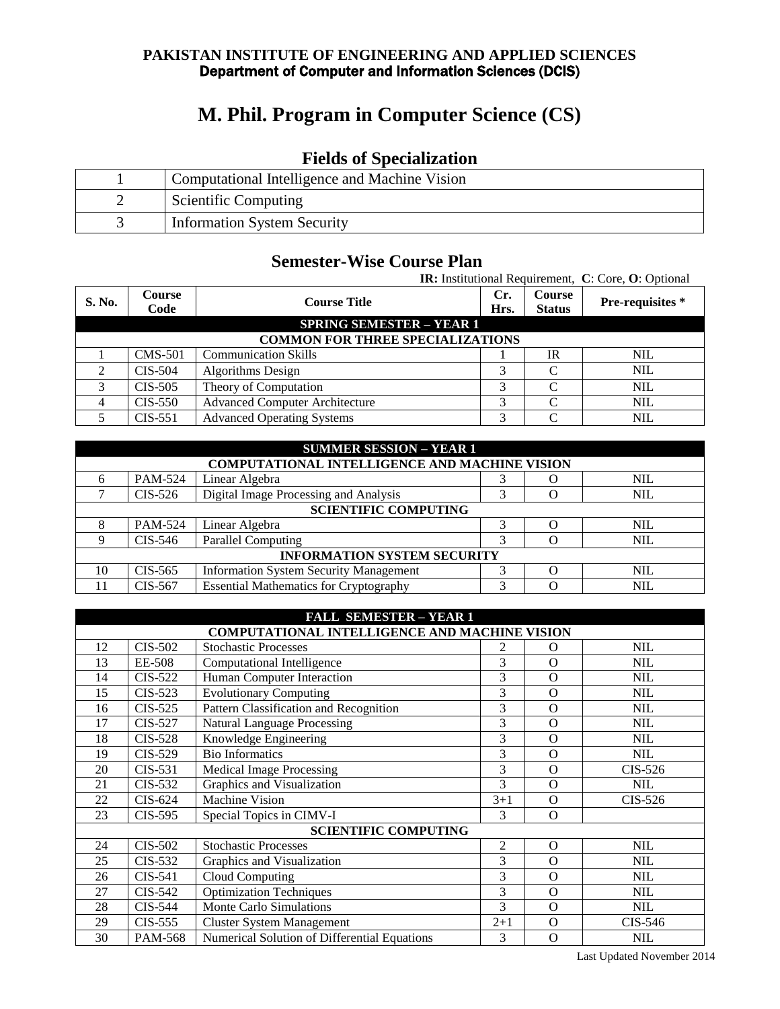#### **PAKISTAN INSTITUTE OF ENGINEERING AND APPLIED SCIENCES**  Department of Computer and Information Sciences (DCIS)

# **M. Phil. Program in Computer Science (CS)**

## **Fields of Specialization**

| Computational Intelligence and Machine Vision |
|-----------------------------------------------|
| <b>Scientific Computing</b>                   |
| <b>Information System Security</b>            |

## **Semester-Wise Course Plan**

|                                         |                                 |                                       |      |               | <b>IR:</b> Institutional Requirement, C: Core, O: Optional |  |
|-----------------------------------------|---------------------------------|---------------------------------------|------|---------------|------------------------------------------------------------|--|
| S. No.                                  | <b>Course</b>                   | <b>Course Title</b>                   | Cr.  | <b>Course</b> | Pre-requisites*                                            |  |
|                                         | Code                            |                                       | Hrs. | <b>Status</b> |                                                            |  |
|                                         | <b>SPRING SEMESTER - YEAR 1</b> |                                       |      |               |                                                            |  |
| <b>COMMON FOR THREE SPECIALIZATIONS</b> |                                 |                                       |      |               |                                                            |  |
|                                         | <b>CMS-501</b>                  | <b>Communication Skills</b>           |      | <b>IR</b>     | <b>NIL</b>                                                 |  |
| ↑                                       | $CIS-504$                       | <b>Algorithms Design</b>              | 3    | C             | <b>NIL</b>                                                 |  |
| 3                                       | $CIS-505$                       | Theory of Computation                 | 3    | $\Gamma$      | <b>NIL</b>                                                 |  |
|                                         | $CIS-550$                       | <b>Advanced Computer Architecture</b> | 3    |               | <b>NIL</b>                                                 |  |
|                                         | $CIS-551$                       | <b>Advanced Operating Systems</b>     | 3    |               | <b>NIL</b>                                                 |  |

|                             | <b>SUMMER SESSION - YEAR 1</b>                       |                                               |   |  |            |  |
|-----------------------------|------------------------------------------------------|-----------------------------------------------|---|--|------------|--|
|                             | <b>COMPUTATIONAL INTELLIGENCE AND MACHINE VISION</b> |                                               |   |  |            |  |
| 6                           | PAM-524                                              | Linear Algebra                                |   |  | <b>NIL</b> |  |
|                             | CIS-526                                              | Digital Image Processing and Analysis         |   |  | <b>NIL</b> |  |
| <b>SCIENTIFIC COMPUTING</b> |                                                      |                                               |   |  |            |  |
|                             | PAM-524                                              | Linear Algebra                                |   |  | <b>NIL</b> |  |
| Q                           | CIS-546                                              | <b>Parallel Computing</b>                     | 3 |  | NIL        |  |
|                             | <b>INFORMATION SYSTEM SECURITY</b>                   |                                               |   |  |            |  |
| 10                          | CIS-565                                              | <b>Information System Security Management</b> | 3 |  | <b>NIL</b> |  |
|                             | CIS-567                                              | <b>Essential Mathematics for Cryptography</b> | 3 |  | <b>NIL</b> |  |

|    | <b>FALL SEMESTER - YEAR 1</b>                        |                                              |         |          |            |
|----|------------------------------------------------------|----------------------------------------------|---------|----------|------------|
|    | <b>COMPUTATIONAL INTELLIGENCE AND MACHINE VISION</b> |                                              |         |          |            |
| 12 | <b>CIS-502</b>                                       | <b>Stochastic Processes</b>                  | 2       | $\Omega$ | <b>NIL</b> |
| 13 | EE-508                                               | Computational Intelligence                   | 3       | $\Omega$ | <b>NIL</b> |
| 14 | $CIS-522$                                            | Human Computer Interaction                   | 3       | $\Omega$ | <b>NIL</b> |
| 15 | $CIS-523$                                            | <b>Evolutionary Computing</b>                | 3       | $\Omega$ | <b>NIL</b> |
| 16 | CIS-525                                              | Pattern Classification and Recognition       | 3       | $\Omega$ | <b>NIL</b> |
| 17 | $CIS-527$                                            | <b>Natural Language Processing</b>           | 3       | $\Omega$ | <b>NIL</b> |
| 18 | $CIS-528$                                            | Knowledge Engineering                        | 3       | $\Omega$ | <b>NIL</b> |
| 19 | CIS-529                                              | <b>Bio Informatics</b>                       | 3       | $\Omega$ | <b>NIL</b> |
| 20 | $CIS-531$                                            | Medical Image Processing                     | 3       | $\Omega$ | CIS-526    |
| 21 | CIS-532                                              | Graphics and Visualization                   | 3       | $\Omega$ | <b>NIL</b> |
| 22 | CIS-624                                              | <b>Machine Vision</b>                        | $3+1$   | $\Omega$ | $CIS-526$  |
| 23 | CIS-595                                              | Special Topics in CIMV-I                     | 3       | $\Omega$ |            |
|    |                                                      | <b>SCIENTIFIC COMPUTING</b>                  |         |          |            |
| 24 | CIS-502                                              | <b>Stochastic Processes</b>                  | 2       | $\Omega$ | <b>NIL</b> |
| 25 | CIS-532                                              | Graphics and Visualization                   | 3       | $\Omega$ | <b>NIL</b> |
| 26 | $CIS-541$                                            | Cloud Computing                              | 3       | $\Omega$ | <b>NIL</b> |
| 27 | CIS-542                                              | Optimization Techniques                      | 3       | $\Omega$ | <b>NIL</b> |
| 28 | <b>CIS-544</b>                                       | Monte Carlo Simulations                      | 3       | $\Omega$ | <b>NIL</b> |
| 29 | CIS-555                                              | <b>Cluster System Management</b>             | $2 + 1$ | $\Omega$ | CIS-546    |
| 30 | PAM-568                                              | Numerical Solution of Differential Equations | 3       | O        | <b>NIL</b> |

Last Updated November 2014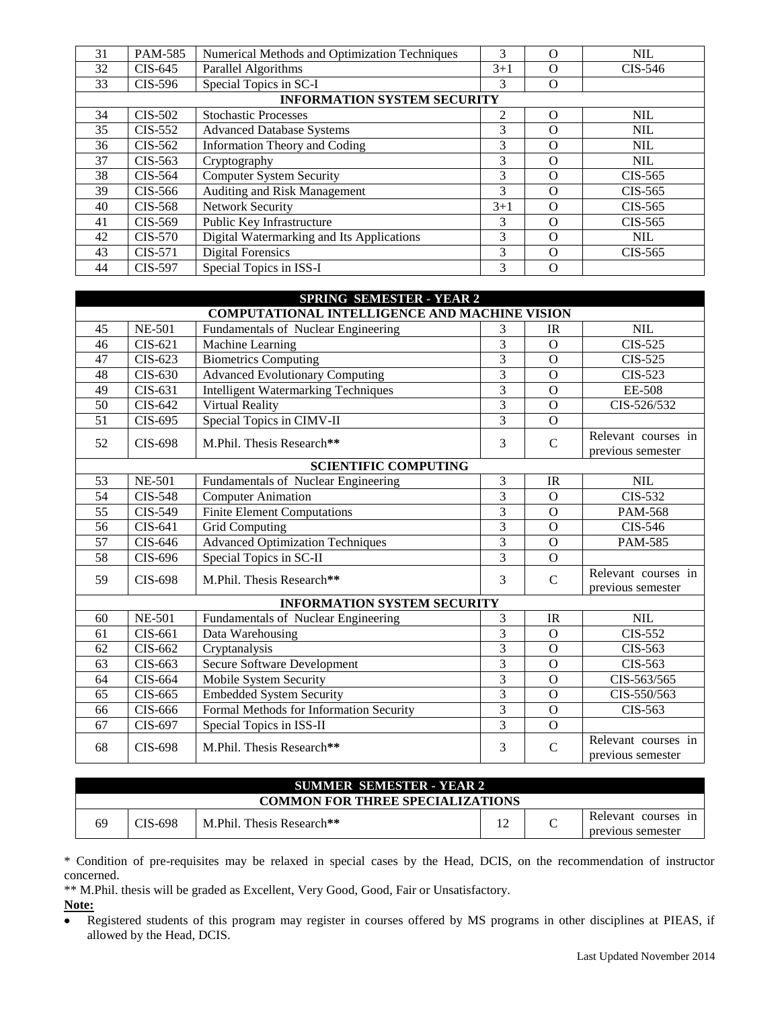| 31 | PAM-585        | Numerical Methods and Optimization Techniques | 3     | $\Omega$ | <b>NIL</b> |
|----|----------------|-----------------------------------------------|-------|----------|------------|
| 32 | $CIS-645$      | <b>Parallel Algorithms</b>                    | $3+1$ | $\Omega$ | $CIS-546$  |
| 33 | $CIS-596$      | Special Topics in SC-I                        | 3     | $\Omega$ |            |
|    |                | <b>INFORMATION SYSTEM SECURITY</b>            |       |          |            |
| 34 | CIS-502        | <b>Stochastic Processes</b>                   | 2     | $\Omega$ | <b>NIL</b> |
| 35 | CIS-552        | <b>Advanced Database Systems</b>              | 3     | $\Omega$ | <b>NIL</b> |
| 36 | CIS-562        | Information Theory and Coding                 | 3     | $\Omega$ | <b>NIL</b> |
| 37 | $CIS-563$      | Cryptography                                  | 3     | $\Omega$ | <b>NIL</b> |
| 38 | $CIS-564$      | <b>Computer System Security</b>               | 3     | $\Omega$ | $CIS-565$  |
| 39 | CIS-566        | Auditing and Risk Management                  | 3     | $\Omega$ | $CIS-565$  |
| 40 | CIS-568        | Network Security                              | $3+1$ | $\Omega$ | $CIS-565$  |
| 41 | CIS-569        | Public Key Infrastructure                     | 3     | $\Omega$ | $CIS-565$  |
| 42 | <b>CIS-570</b> | Digital Watermarking and Its Applications     | 3     | $\Omega$ | <b>NIL</b> |
| 43 | CIS-571        | <b>Digital Forensics</b>                      | 3     | $\Omega$ | $CIS-565$  |
| 44 | CIS-597        | Special Topics in ISS-I                       | 3     | $\Omega$ |            |

|    | <b>SPRING SEMESTER - YEAR 2</b>                      |                                            |                |                |                                          |  |
|----|------------------------------------------------------|--------------------------------------------|----------------|----------------|------------------------------------------|--|
|    | <b>COMPUTATIONAL INTELLIGENCE AND MACHINE VISION</b> |                                            |                |                |                                          |  |
| 45 | <b>NE-501</b>                                        | Fundamentals of Nuclear Engineering        | 3              | IR             | <b>NIL</b>                               |  |
| 46 | $CIS-621$                                            | Machine Learning                           | 3              | $\Omega$       | $CIS-525$                                |  |
| 47 | CIS-623                                              | <b>Biometrics</b> Computing                | $\overline{3}$ | $\overline{O}$ | <b>CIS-525</b>                           |  |
| 48 | CIS-630                                              | <b>Advanced Evolutionary Computing</b>     | 3              | $\Omega$       | $CIS-523$                                |  |
| 49 | CIS-631                                              | <b>Intelligent Watermarking Techniques</b> | 3              | $\overline{O}$ | EE-508                                   |  |
| 50 | $CIS-642$                                            | Virtual Reality                            | 3              | $\Omega$       | CIS-526/532                              |  |
| 51 | CIS-695                                              | Special Topics in CIMV-II                  | 3              | $\overline{O}$ |                                          |  |
| 52 | CIS-698                                              | M.Phil. Thesis Research**                  | 3              | $\mathcal{C}$  | Relevant courses in<br>previous semester |  |
|    |                                                      | <b>SCIENTIFIC COMPUTING</b>                |                |                |                                          |  |
| 53 | <b>NE-501</b>                                        | Fundamentals of Nuclear Engineering        | 3              | IR             | <b>NIL</b>                               |  |
| 54 | <b>CIS-548</b>                                       | <b>Computer Animation</b>                  | $\overline{3}$ | $\Omega$       | CIS-532                                  |  |
| 55 | CIS-549                                              | <b>Finite Element Computations</b>         | 3              | $\Omega$       | <b>PAM-568</b>                           |  |
| 56 | CIS-641                                              | <b>Grid Computing</b>                      | 3              | $\overline{O}$ | CIS-546                                  |  |
| 57 | CIS-646                                              | <b>Advanced Optimization Techniques</b>    | 3              | $\Omega$       | <b>PAM-585</b>                           |  |
| 58 | CIS-696                                              | Special Topics in SC-II                    | $\overline{3}$ | $\Omega$       |                                          |  |
| 59 | <b>CIS-698</b>                                       | M.Phil. Thesis Research**                  | 3              | $\mathcal{C}$  | Relevant courses in<br>previous semester |  |
|    |                                                      | <b>INFORMATION SYSTEM SECURITY</b>         |                |                |                                          |  |
| 60 | <b>NE-501</b>                                        | Fundamentals of Nuclear Engineering        | 3              | IR             | <b>NIL</b>                               |  |
| 61 | $CIS-661$                                            | Data Warehousing                           | 3              | $\Omega$       | CIS-552                                  |  |
| 62 | CIS-662                                              | Cryptanalysis                              | 3              | $\overline{O}$ | CIS-563                                  |  |
| 63 | CIS-663                                              | Secure Software Development                | 3              | $\Omega$       | CIS-563                                  |  |
| 64 | CIS-664                                              | Mobile System Security                     | 3              | $\overline{O}$ | CIS-563/565                              |  |
| 65 | CIS-665                                              | <b>Embedded System Security</b>            | 3              | $\Omega$       | CIS-550/563                              |  |
| 66 | CIS-666                                              | Formal Methods for Information Security    | 3              | $\Omega$       | CIS-563                                  |  |
| 67 | CIS-697                                              | Special Topics in ISS-II                   | 3              | $\overline{O}$ |                                          |  |
| 68 | CIS-698                                              | M.Phil. Thesis Research**                  | 3              | $\mathcal{C}$  | Relevant courses in<br>previous semester |  |

| <b>SUMMER SEMESTER - YEAR 2</b>         |         |                            |  |  |                                             |
|-----------------------------------------|---------|----------------------------|--|--|---------------------------------------------|
| <b>COMMON FOR THREE SPECIALIZATIONS</b> |         |                            |  |  |                                             |
| 69                                      | CIS-698 | M. Phil. Thesis Research** |  |  | Relevant courses<br>1n<br>previous semester |

\* Condition of pre-requisites may be relaxed in special cases by the Head, DCIS, on the recommendation of instructor concerned.

\*\* M.Phil. thesis will be graded as Excellent, Very Good, Good, Fair or Unsatisfactory.

#### **Note:**

Registered students of this program may register in courses offered by MS programs in other disciplines at PIEAS, if  $\bullet$ allowed by the Head, DCIS.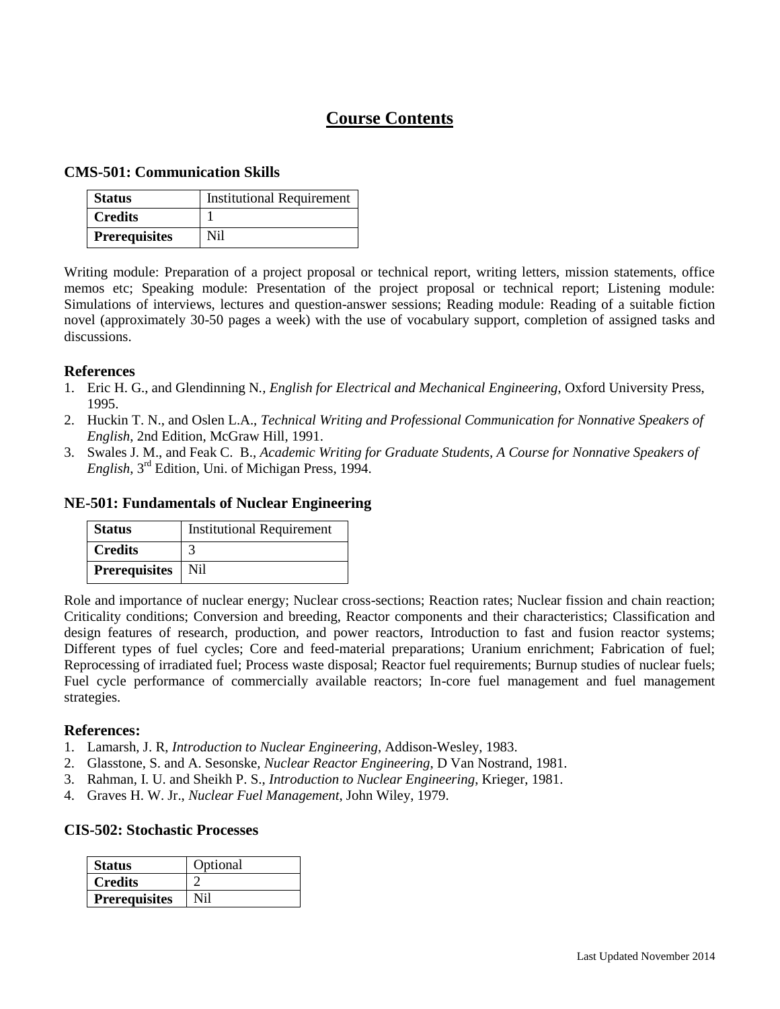## **Course Contents**

#### **CMS-501: Communication Skills**

| <b>Status</b>        | <b>Institutional Requirement</b> |
|----------------------|----------------------------------|
| <b>Credits</b>       |                                  |
| <b>Prerequisites</b> | Ni1                              |

Writing module: Preparation of a project proposal or technical report, writing letters, mission statements, office memos etc; Speaking module: Presentation of the project proposal or technical report; Listening module: Simulations of interviews, lectures and question-answer sessions; Reading module: Reading of a suitable fiction novel (approximately 30-50 pages a week) with the use of vocabulary support, completion of assigned tasks and discussions.

#### **References**

- 1. Eric H. G., and Glendinning N*., English for Electrical and Mechanical Engineering*, Oxford University Press, 1995.
- 2. Huckin T. N., and Oslen L.A., *Technical Writing and Professional Communication for Nonnative Speakers of English*, 2nd Edition, McGraw Hill, 1991.
- 3. Swales J. M., and Feak C. B., *Academic Writing for Graduate Students, A Course for Nonnative Speakers of English*, 3rd Edition, Uni. of Michigan Press, 1994.

#### **NE-501: Fundamentals of Nuclear Engineering**

| <b>Status</b>        | <b>Institutional Requirement</b> |
|----------------------|----------------------------------|
| <b>Credits</b>       |                                  |
| <b>Prerequisites</b> | Nil                              |

Role and importance of nuclear energy; Nuclear cross-sections; Reaction rates; Nuclear fission and chain reaction; Criticality conditions; Conversion and breeding, Reactor components and their characteristics; Classification and design features of research, production, and power reactors, Introduction to fast and fusion reactor systems; Different types of fuel cycles; Core and feed-material preparations; Uranium enrichment; Fabrication of fuel; Reprocessing of irradiated fuel; Process waste disposal; Reactor fuel requirements; Burnup studies of nuclear fuels; Fuel cycle performance of commercially available reactors; In-core fuel management and fuel management strategies.

#### **References:**

- 1. Lamarsh, J. R, *Introduction to Nuclear Engineering*, Addison-Wesley, 1983.
- 2. Glasstone, S. and A. Sesonske, *Nuclear Reactor Engineering*, D Van Nostrand, 1981.
- 3. Rahman, I. U. and Sheikh P. S., *Introduction to Nuclear Engineering*, Krieger, 1981.
- 4. Graves H. W. Jr., *Nuclear Fuel Management*, John Wiley, 1979.

#### **CIS-502: Stochastic Processes**

| <b>Status</b>        | Optional |
|----------------------|----------|
| <b>Credits</b>       |          |
| <b>Prerequisites</b> |          |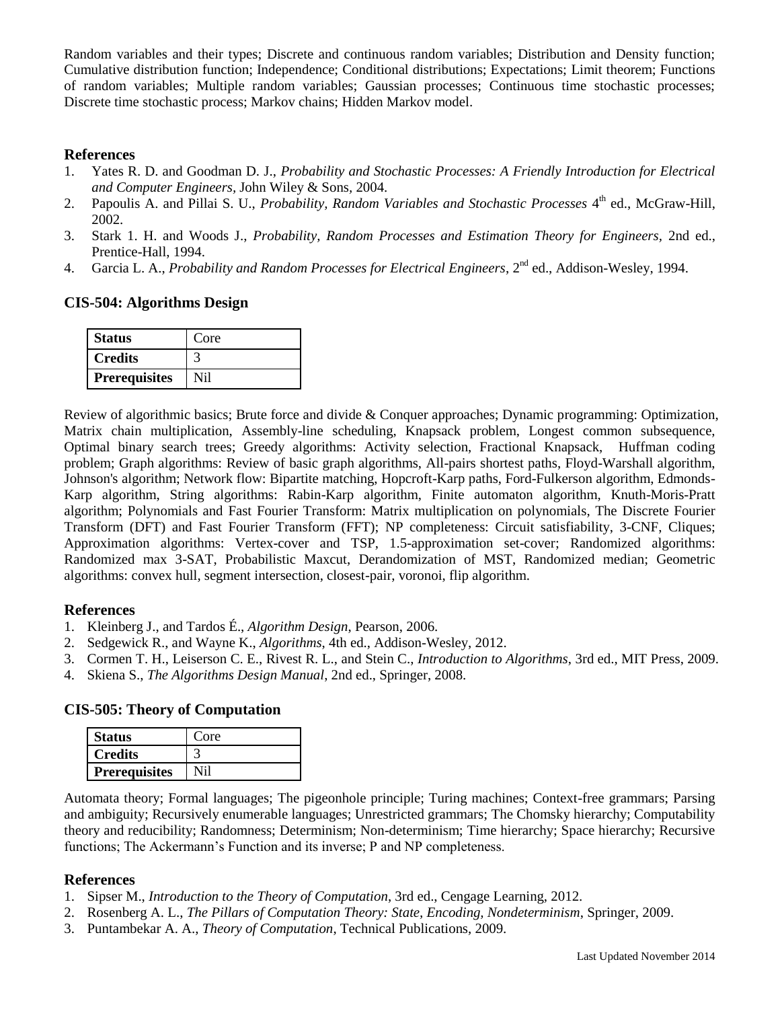Random variables and their types; Discrete and continuous random variables; Distribution and Density function; Cumulative distribution function; Independence; Conditional distributions; Expectations; Limit theorem; Functions of random variables; Multiple random variables; Gaussian processes; Continuous time stochastic processes; Discrete time stochastic process; Markov chains; Hidden Markov model.

## **References**

- 1. Yates R. D. and Goodman D. J., *Probability and Stochastic Processes: A Friendly Introduction for Electrical and Computer Engineers,* John Wiley & Sons*,* 2004.
- 2. Papoulis A. and Pillai S. U., *Probability, Random Variables and Stochastic Processes* 4<sup>th</sup> ed., McGraw-Hill, 2002.
- 3. Stark 1. H. and Woods J., *Probability, Random Processes and Estimation Theory for Engineers,* 2nd ed., Prentice-Hall, 1994.
- 4. Garcia L. A., *Probability and Random Processes for Electrical Engineers*, 2<sup>nd</sup> ed., Addison-Wesley, 1994.

## **CIS-504: Algorithms Design**

| <b>Status</b>        | Core |
|----------------------|------|
| <b>Credits</b>       |      |
| <b>Prerequisites</b> |      |

Review of algorithmic basics; Brute force and divide & Conquer approaches; Dynamic programming: Optimization, Matrix chain multiplication, Assembly-line scheduling, Knapsack problem, Longest common subsequence, Optimal binary search trees; Greedy algorithms: Activity selection, Fractional Knapsack, Huffman coding problem; Graph algorithms: Review of basic graph algorithms, All-pairs shortest paths, Floyd-Warshall algorithm, Johnson's algorithm; Network flow: Bipartite matching, Hopcroft-Karp paths, Ford-Fulkerson algorithm, Edmonds-Karp algorithm, String algorithms: Rabin-Karp algorithm, Finite automaton algorithm, Knuth-Moris-Pratt algorithm; Polynomials and Fast Fourier Transform: Matrix multiplication on polynomials, The Discrete Fourier Transform (DFT) and Fast Fourier Transform (FFT); NP completeness: Circuit satisfiability, 3-CNF, Cliques; Approximation algorithms: Vertex-cover and TSP, 1.5-approximation set-cover; Randomized algorithms: Randomized max 3-SAT, Probabilistic Maxcut, Derandomization of MST, Randomized median; Geometric algorithms: convex hull, segment intersection, closest-pair, voronoi, flip algorithm.

#### **References**

- 1. Kleinberg J., and Tardos É., *Algorithm Design*, Pearson, 2006.
- 2. Sedgewick R., and Wayne K., *Algorithms*, 4th ed., Addison-Wesley, 2012.
- 3. Cormen T. H., Leiserson C. E., Rivest R. L., and Stein C., *Introduction to Algorithms*, 3rd ed., MIT Press, 2009.
- 4. Skiena S., *The Algorithms Design Manual*, 2nd ed., Springer, 2008.

## **CIS-505: Theory of Computation**

| <b>Status</b>        | Core |
|----------------------|------|
| <b>Credits</b>       |      |
| <b>Prerequisites</b> |      |

Automata theory; Formal languages; The pigeonhole principle; Turing machines; Context-free grammars; Parsing and ambiguity; Recursively enumerable languages; Unrestricted grammars; The Chomsky hierarchy; Computability theory and reducibility; Randomness; Determinism; Non-determinism; Time hierarchy; Space hierarchy; Recursive functions; The Ackermann's Function and its inverse; P and NP completeness.

- 1. Sipser M., *Introduction to the Theory of Computation*, 3rd ed., Cengage Learning, 2012.
- 2. Rosenberg A. L., *The Pillars of Computation Theory: State, Encoding, Nondeterminism*, Springer, 2009.
- 3. Puntambekar A. A., *Theory of Computation*, Technical Publications, 2009.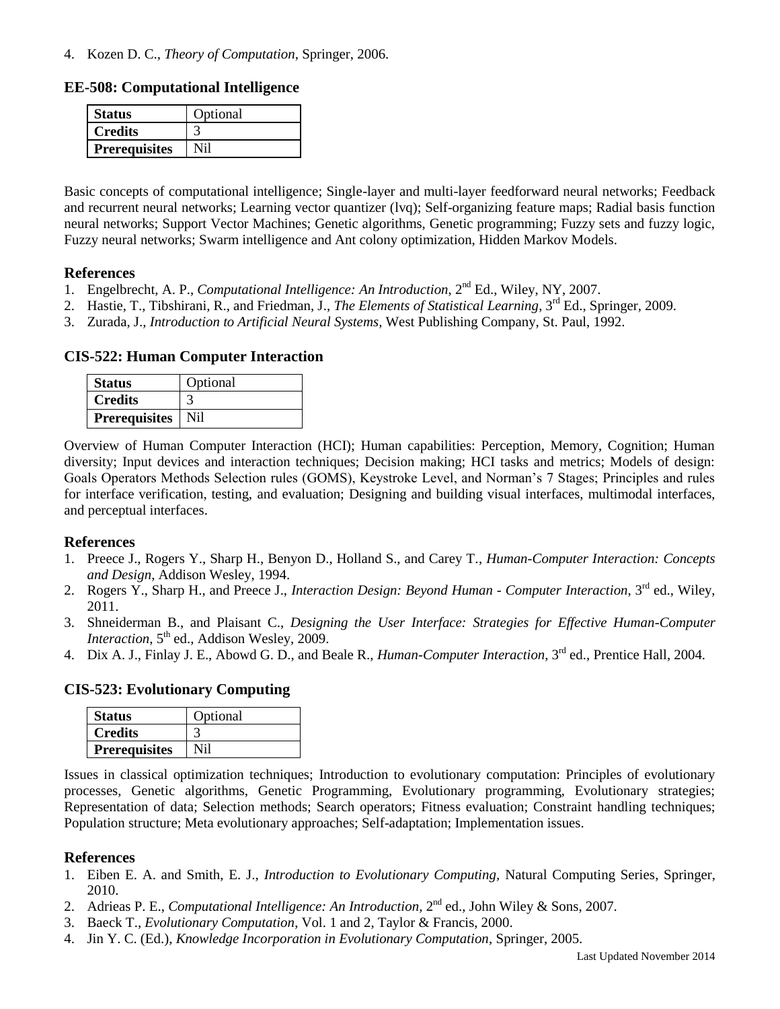4. Kozen D. C., *Theory of Computation*, Springer, 2006.

**EE-508: Computational Intelligence**

| <b>Status</b>        | Optional |
|----------------------|----------|
| Credits              |          |
| <b>Prerequisites</b> |          |

Basic concepts of computational intelligence; Single-layer and multi-layer feedforward neural networks; Feedback and recurrent neural networks; Learning vector quantizer (lvq); Self-organizing feature maps; Radial basis function neural networks; Support Vector Machines; Genetic algorithms, Genetic programming; Fuzzy sets and fuzzy logic, Fuzzy neural networks; Swarm intelligence and Ant colony optimization, Hidden Markov Models.

#### **References**

- 1. Engelbrecht, A. P., *Computational Intelligence: An Introduction*, 2nd Ed., Wiley, NY, 2007.
- 2. Hastie, T., Tibshirani, R., and Friedman, J., *The Elements of Statistical Learning*, 3rd Ed., Springer, 2009.
- 3. Zurada, J., *Introduction to Artificial Neural Systems,* West Publishing Company, St. Paul, 1992.

**CIS-522: Human Computer Interaction**

| <b>Status</b>        | Optional |
|----------------------|----------|
| <b>Credits</b>       |          |
| <b>Prerequisites</b> | Nil      |

Overview of Human Computer Interaction (HCI); Human capabilities: Perception, Memory, Cognition; Human diversity; Input devices and interaction techniques; Decision making; HCI tasks and metrics; Models of design: Goals Operators Methods Selection rules (GOMS), Keystroke Level, and Norman's 7 Stages; Principles and rules for interface verification, testing, and evaluation; Designing and building visual interfaces, multimodal interfaces, and perceptual interfaces.

## **References**

- 1. Preece J., Rogers Y., Sharp H., Benyon D., Holland S., and Carey T., *Human-Computer Interaction: Concepts and Design*, Addison Wesley, 1994.
- 2. Rogers Y., Sharp H., and Preece J., *Interaction Design: Beyond Human - Computer Interaction*, 3rd ed., Wiley, 2011.
- 3. Shneiderman B., and Plaisant C., *Designing the User Interface: Strategies for Effective Human-Computer Interaction*, 5<sup>th</sup> ed., Addison Wesley, 2009.
- 4. Dix A. J., Finlay J. E., Abowd G. D., and Beale R., *Human-Computer Interaction*, 3rd ed., Prentice Hall, 2004.

#### **CIS-523: Evolutionary Computing**

| <b>Status</b>        | Optional |
|----------------------|----------|
| <b>Credits</b>       |          |
| <b>Prerequisites</b> | Ni1      |

Issues in classical optimization techniques; Introduction to evolutionary computation: Principles of evolutionary processes, Genetic algorithms, Genetic Programming, Evolutionary programming, Evolutionary strategies; Representation of data; Selection methods; Search operators; Fitness evaluation; Constraint handling techniques; Population structure; Meta evolutionary approaches; Self-adaptation; Implementation issues.

- 1. Eiben E. A. and Smith, E. J., *Introduction to Evolutionary Computing,* [Natural Computing Series,](http://www.google.de/search?hl=de&tbo=p&tbm=bks&q=bibliogroup:%22Natural+Computing+Series%22&source=gbs_metadata_r&cad=5) Springer, 2010.
- 2. Adrieas P. E., *Computational Intelligence: An Introduction*, 2<sup>nd</sup> ed., John Wiley & Sons, 2007.
- 3. Baeck T., *Evolutionary Computation*, Vol. 1 and 2, Taylor & Francis, 2000.
- 4. Jin Y. C. (Ed.), *Knowledge Incorporation in Evolutionary Computation*, Springer, 2005.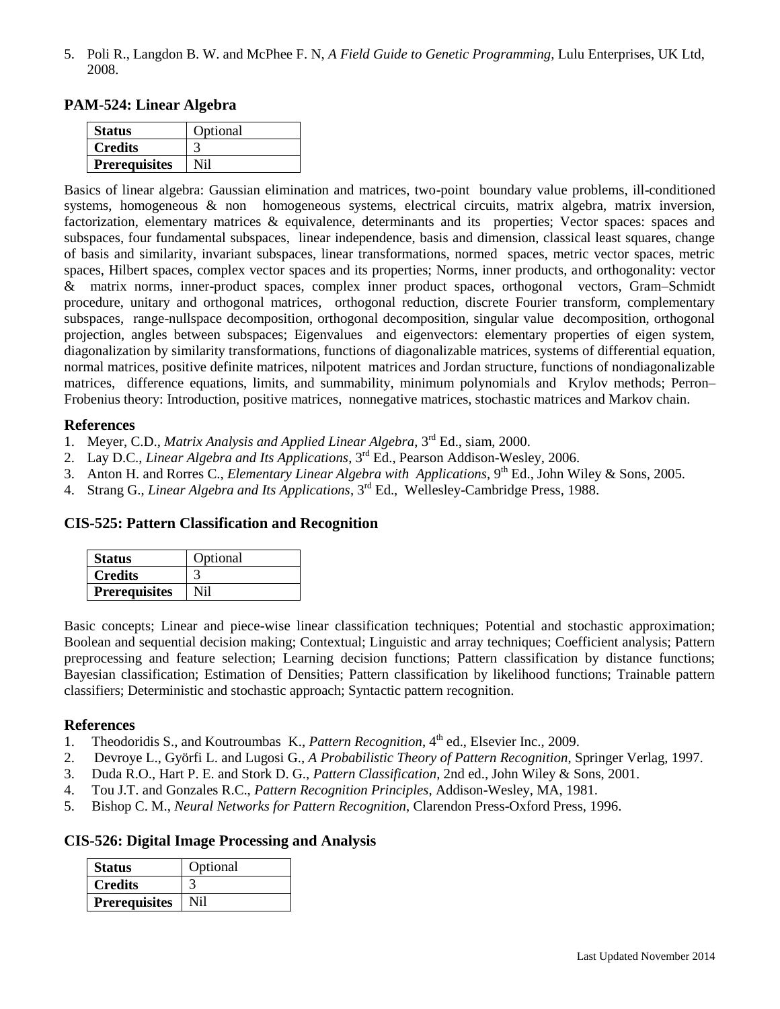5. Poli R., Langdon B. W. and McPhee F. N, *A Field Guide to Genetic Programming,* Lulu Enterprises, UK Ltd, 2008.

## **PAM-524: Linear Algebra**

| <b>Status</b>        | Optional |
|----------------------|----------|
| <b>Credits</b>       |          |
| <b>Prerequisites</b> |          |

Basics of linear algebra: Gaussian elimination and matrices, two-point boundary value problems, ill-conditioned systems, homogeneous & non homogeneous systems, electrical circuits, matrix algebra, matrix inversion, factorization, elementary matrices & equivalence, determinants and its properties; Vector spaces: spaces and subspaces, four fundamental subspaces, linear independence, basis and dimension, classical least squares, change of basis and similarity, invariant subspaces, linear transformations, normed spaces, metric vector spaces, metric spaces, Hilbert spaces, complex vector spaces and its properties; Norms, inner products, and orthogonality: vector & matrix norms, inner-product spaces, complex inner product spaces, orthogonal vectors, Gram–Schmidt procedure, unitary and orthogonal matrices, orthogonal reduction, discrete Fourier transform, complementary subspaces, range-nullspace decomposition, orthogonal decomposition, singular value decomposition, orthogonal projection, angles between subspaces; Eigenvalues and eigenvectors: elementary properties of eigen system, diagonalization by similarity transformations, functions of diagonalizable matrices, systems of differential equation, normal matrices, positive definite matrices, nilpotent matrices and Jordan structure, functions of nondiagonalizable matrices, difference equations, limits, and summability, minimum polynomials and Krylov methods; Perron– Frobenius theory: Introduction, positive matrices, nonnegative matrices, stochastic matrices and Markov chain.

#### **References**

- 1. Meyer, C.D., *Matrix Analysis and Applied Linear Algebra*, 3rd Ed., siam, 2000.
- 2. Lay D.C., *Linear Algebra and Its Applications*, 3<sup>rd</sup> Ed., Pearson Addison-Wesley, 2006.
- 3. Anton H. and Rorres C., *Elementary Linear Algebra with Applications*, 9<sup>th</sup> Ed., John Wiley & Sons, 2005.
- 4. Strang G., *Linear Algebra and Its Applications*, 3rd Ed., Wellesley-Cambridge Press, 1988.

## **CIS-525: Pattern Classification and Recognition**

| <b>Status</b>        | Optional |
|----------------------|----------|
| <b>Credits</b>       |          |
| <b>Prerequisites</b> |          |

Basic concepts; Linear and piece-wise linear classification techniques; Potential and stochastic approximation; Boolean and sequential decision making; Contextual; Linguistic and array techniques; Coefficient analysis; Pattern preprocessing and feature selection; Learning decision functions; Pattern classification by distance functions; Bayesian classification; Estimation of Densities; Pattern classification by likelihood functions; Trainable pattern classifiers; Deterministic and stochastic approach; Syntactic pattern recognition.

## **References**

- 1. Theodoridis S., and Koutroumbas K., *[Pattern Recognition](http://www.amazon.com/exec/obidos/tg/detail/-/0123695317/qid=1143698947/sr=1-2/ref=sr_1_2/104-5311221-5118332?v=glance&s=books)*, 4<sup>th</sup> ed., Elsevier Inc., 2009.
- 2. [Devroye](http://www.amazon.com/exec/obidos/search-handle-url/index=books&field-author-exact=Luc%20Devroye&rank=-relevance%2C%2Bavailability%2C-daterank/104-5311221-5118332) L., [Györfi](http://www.amazon.com/exec/obidos/search-handle-url/index=books&field-author-exact=Laszlo%20Gy%F6rfi&rank=-relevance%2C%2Bavailability%2C-daterank/104-5311221-5118332) L. and [Lugosi](http://www.amazon.com/exec/obidos/search-handle-url/index=books&field-author-exact=Gabor%20Lugosi&rank=-relevance%2C%2Bavailability%2C-daterank/104-5311221-5118332) G., *A Probabilistic Theory of Pattern Recognition*, Springer Verlag, 1997.
- 3. Duda R.O., Hart P. E. and Stork D. G., *Pattern Classification*, 2nd ed., John Wiley & Sons, 2001.
- 4. Tou J.T. and Gonzales R.C., *Pattern Recognition Principles*, Addison-Wesley, MA, 1981.
- 5. Bishop C. M., *[Neural Networks for Pattern Recognition](http://www.amazon.com/exec/obidos/tg/detail/-/0198538642/qid=1143700004/sr=1-2/ref=sr_1_2/104-5311221-5118332?v=glance&s=books)*, Clarendon Press-Oxford Press, 1996.

## **CIS-526: Digital Image Processing and Analysis**

| <b>Status</b>        | Optional |
|----------------------|----------|
| <b>Credits</b>       |          |
| <b>Prerequisites</b> | Ni1      |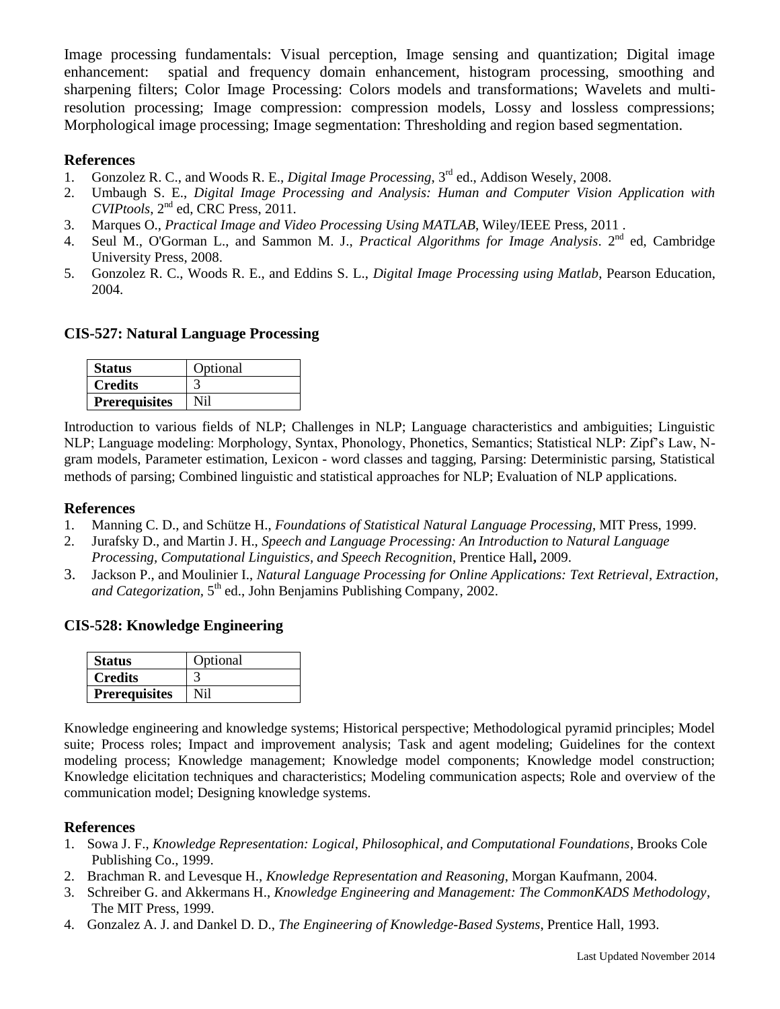Image processing fundamentals: Visual perception, Image sensing and quantization; Digital image enhancement: spatial and frequency domain enhancement, histogram processing, smoothing and sharpening filters; Color Image Processing: Colors models and transformations; Wavelets and multiresolution processing; Image compression: compression models, Lossy and lossless compressions; Morphological image processing; Image segmentation: Thresholding and region based segmentation.

## **References**

- 1. Gonzolez R. C., and Woods R. E., *Digital Image Processing*, 3rd ed., Addison Wesely, 2008.
- 2. Umbaugh S. E., *Digital Image Processing and Analysis: Human and Computer Vision Application with CVIPtools*, 2nd ed, CRC Press, 2011.
- 3. Marques O., *Practical Image and Video Processing Using MATLAB*, Wiley/IEEE Press, 2011 .
- 4. Seul M., O'Gorman L., and Sammon M. J., *Practical Algorithms for Image Analysis*. 2<sup>nd</sup> ed, Cambridge University Press, 2008.
- 5. Gonzolez R. C., Woods R. E., and Eddins S. L., *Digital Image Processing using Matlab*, Pearson Education, 2004.

## **CIS-527: Natural Language Processing**

| <b>Status</b>        | Optional |
|----------------------|----------|
| <b>Credits</b>       |          |
| <b>Prerequisites</b> | Ni1      |

Introduction to various fields of NLP; Challenges in NLP; Language characteristics and ambiguities; Linguistic NLP; Language modeling: Morphology, Syntax, Phonology, Phonetics, Semantics; Statistical NLP: Zipf's Law, Ngram models, Parameter estimation, Lexicon - word classes and tagging, Parsing: Deterministic parsing, Statistical methods of parsing; Combined linguistic and statistical approaches for NLP; Evaluation of NLP applications.

#### **References**

- 1. Manning C. D., and Schütze H., *Foundations of Statistical Natural Language Processing*, MIT Press, 1999.
- 2. Jurafsky D., and Martin J. H., *Speech and Language Processing: An Introduction to Natural Language Processing, Computational Linguistics, and Speech Recognition*, Prentice Hall**,** 2009.
- 3. [Jackson](http://www.amazon.com/exec/obidos/search-handle-url/index=books&field-author-exact=Peter%20Jackson&rank=-relevance%2C%2Bavailability%2C-daterank/104-5311221-5118332) P., an[d Moulinier](http://www.amazon.com/exec/obidos/search-handle-url/index=books&field-author-exact=Isabelle%20Moulinier&rank=-relevance%2C%2Bavailability%2C-daterank/104-5311221-5118332) I., *Natural Language Processing for Online Applications: Text Retrieval, Extraction,*  and Categorization, 5<sup>th</sup> ed., John Benjamins Publishing Company, 2002.

## **CIS-528: Knowledge Engineering**

| <b>Status</b>        | Optional |
|----------------------|----------|
| <b>Credits</b>       |          |
| <b>Prerequisites</b> | N I 1    |

Knowledge engineering and knowledge systems; Historical perspective; Methodological pyramid principles; Model suite; Process roles; Impact and improvement analysis; Task and agent modeling; Guidelines for the context modeling process; Knowledge management; Knowledge model components; Knowledge model construction; Knowledge elicitation techniques and characteristics; Modeling communication aspects; Role and overview of the communication model; Designing knowledge systems.

- 1. Sowa J. F., *Knowledge Representation: Logical, Philosophical, and Computational Foundations*, Brooks Cole Publishing Co., 1999.
- 2. Brachman R. and Levesque H., *Knowledge Representation and Reasoning*, Morgan Kaufmann, 2004.
- 3. Schreiber G. and Akkermans H., *Knowledge Engineering and Management: The CommonKADS Methodology*, The MIT Press, 1999.
- 4. Gonzalez A. J. and Dankel D. D., *The Engineering of Knowledge-Based Systems*, Prentice Hall, 1993.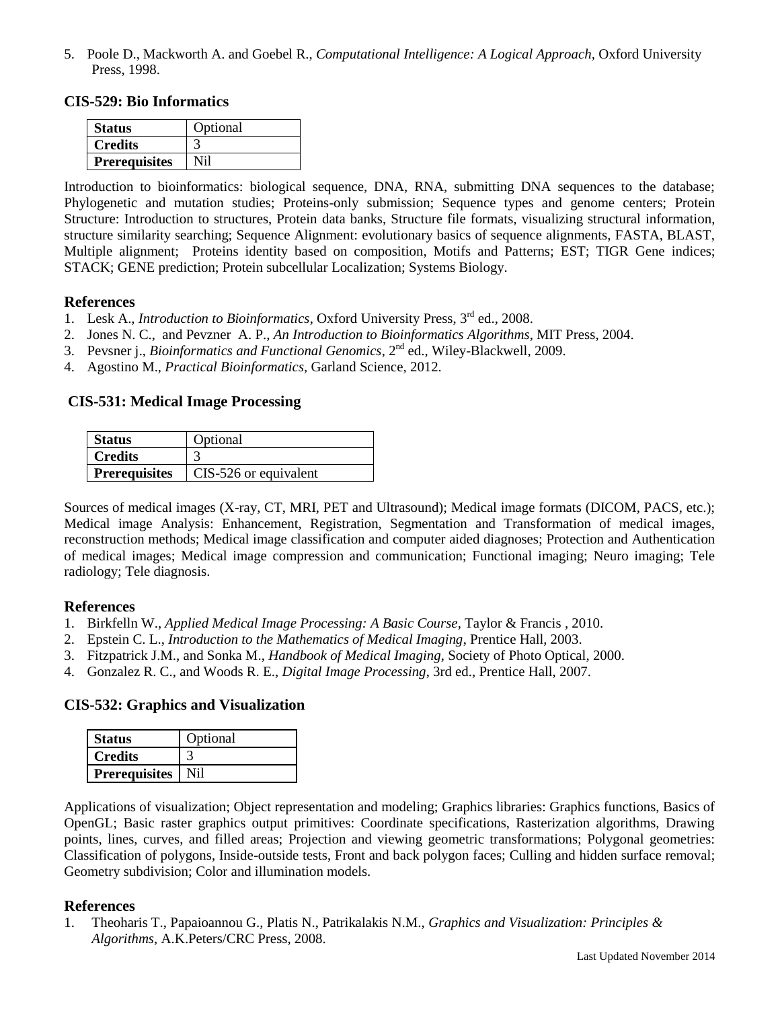5. Poole [D.,](http://www.cs.ubc.ca/spider/poole/) [Mackworth](http://www.cs.ubc.ca/spider/mack) A. and [Goebel](http://web.cs.ualberta.ca/~goebel) R., *[Computational Intelligence:](http://www.cs.ubc.ca/spider/poole/ci.html) A Logical Approach,* [Oxford University](http://www.oup-usa.org/)  [Press,](http://www.oup-usa.org/) 1998.

#### **CIS-529: Bio Informatics**

| <b>Status</b>        | Optional |
|----------------------|----------|
| <b>Credits</b>       |          |
| <b>Prerequisites</b> | Nil      |

Introduction to bioinformatics: biological sequence, DNA, RNA, submitting DNA sequences to the database; Phylogenetic and mutation studies; Proteins-only submission; Sequence types and genome centers; Protein Structure: Introduction to structures, Protein data banks, Structure file formats, visualizing structural information, structure similarity searching; Sequence Alignment: evolutionary basics of sequence alignments, FASTA, BLAST, Multiple alignment; Proteins identity based on composition, Motifs and Patterns; EST; TIGR Gene indices; STACK; GENE prediction; Protein subcellular Localization; Systems Biology.

#### **References**

- 1. Lesk A., *Introduction to Bioinformatics*, Oxford University Press, 3rd ed., 2008.
- 2. Jones N. C., and Pevzner A. P., *An Introduction to Bioinformatics Algorithms*, MIT Press, 2004.
- 3. Pevsner j., *Bioinformatics and Functional Genomics*, 2nd ed., Wiley-Blackwell, 2009.
- 4. Agostino M., *Practical Bioinformatics,* Garland Science, 2012.

## **CIS-531: Medical Image Processing**

| <b>Status</b>        | Optional              |
|----------------------|-----------------------|
| <b>Credits</b>       |                       |
| <b>Prerequisites</b> | CIS-526 or equivalent |

Sources of medical images (X-ray, CT, MRI, PET and Ultrasound); Medical image formats (DICOM, PACS, etc.); Medical image Analysis: Enhancement, Registration, Segmentation and Transformation of medical images, reconstruction methods; Medical image classification and computer aided diagnoses; Protection and Authentication of medical images; Medical image compression and communication; Functional imaging; Neuro imaging; Tele radiology; Tele diagnosis.

## **References**

- 1. Birkfelln W., *Applied Medical Image Processing: A Basic Course*, Taylor & Francis , 2010.
- 2. Epstein C. L., *Introduction to the Mathematics of Medical Imaging*, Prentice Hall, 2003.
- 3. Fitzpatrick J.M., and Sonka M., *Handbook of Medical Imaging*, Society of Photo Optical, 2000.
- 4. Gonzalez R. C., and Woods R. E., *Digital Image Processing*, 3rd ed., Prentice Hall, 2007.

## **CIS-532: Graphics and Visualization**

| <b>Status</b>        | Optional |
|----------------------|----------|
| <b>Credits</b>       |          |
| <b>Prerequisites</b> |          |

Applications of visualization; Object representation and modeling; Graphics libraries: Graphics functions, Basics of OpenGL; Basic raster graphics output primitives: Coordinate specifications, Rasterization algorithms, Drawing points, lines, curves, and filled areas; Projection and viewing geometric transformations; Polygonal geometries: Classification of polygons, Inside-outside tests, Front and back polygon faces; Culling and hidden surface removal; Geometry subdivision; Color and illumination models.

## **References**

1. Theoharis T., Papaioannou G., Platis N., Patrikalakis N.M., *Graphics and Visualization: Principles & Algorithms*, A.K.Peters/CRC Press, 2008.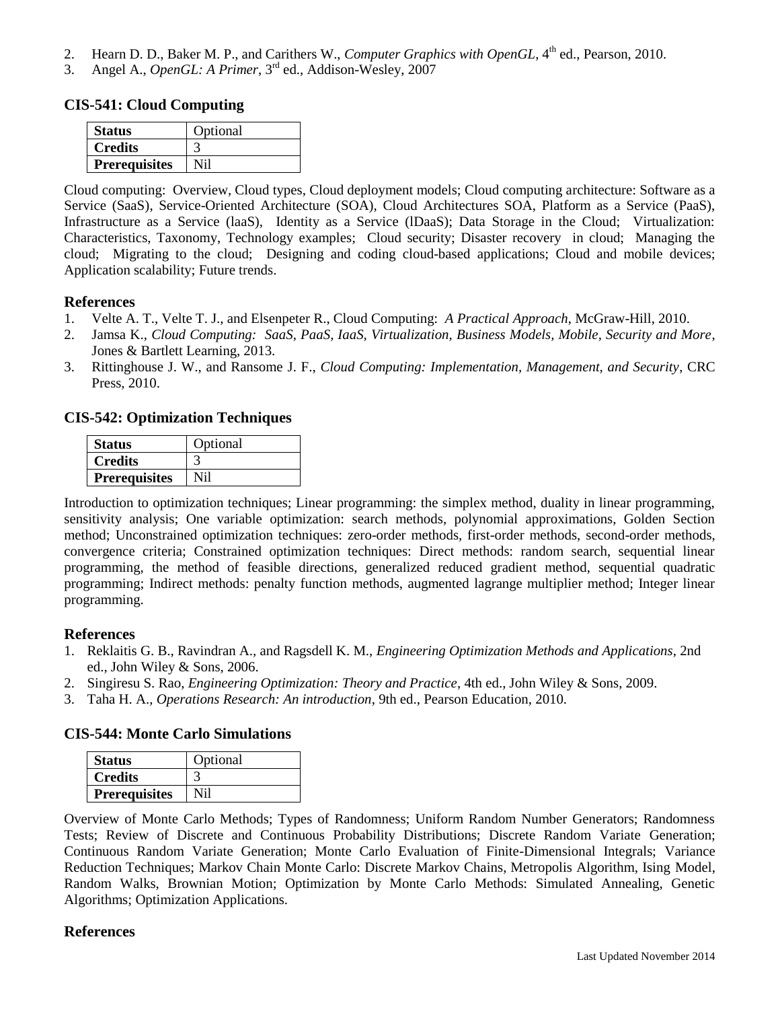- 2. Hearn D. D., Baker M. P., and Carithers W., *Computer Graphics with OpenGL*, 4<sup>th</sup> ed., Pearson, 2010.
- 3. Angel A., *OpenGL: A Primer*, 3rd ed., Addison-Wesley, 2007

## **CIS-541: Cloud Computing**

| <b>Status</b>        | Optional |
|----------------------|----------|
| <b>Credits</b>       |          |
| <b>Prerequisites</b> |          |

Cloud computing: Overview, Cloud types, Cloud deployment models; Cloud computing architecture: Software as a Service (SaaS), Service-Oriented Architecture (SOA), Cloud Architectures SOA, Platform as a Service (PaaS), Infrastructure as a Service (laaS), Identity as a Service (lDaaS); Data Storage in the Cloud; Virtualization: Characteristics, Taxonomy, Technology examples; Cloud security; Disaster recovery in cloud; Managing the cloud; Migrating to the cloud; Designing and coding cloud-based applications; Cloud and mobile devices; Application scalability; Future trends.

#### **References**

- 1. Velte A. T., Velte T. J., and Elsenpeter R., Cloud Computing: *A Practical Approach*, McGraw-Hill, 2010.
- 2. Jamsa K., *Cloud Computing: SaaS, PaaS, IaaS, Virtualization, Business Models, Mobile, Security and More*, Jones & Bartlett Learning, 2013.
- 3. Rittinghouse J. W., and Ransome J. F., *Cloud Computing: Implementation, Management, and Security*, CRC Press, 2010.

## **CIS-542: Optimization Techniques**

| <b>Status</b>        | Optional |
|----------------------|----------|
| <b>Credits</b>       |          |
| <b>Prerequisites</b> | Nil      |

Introduction to optimization techniques; Linear programming: the simplex method, duality in linear programming, sensitivity analysis; One variable optimization: search methods, polynomial approximations, Golden Section method; Unconstrained optimization techniques: zero-order methods, first-order methods, second-order methods, convergence criteria; Constrained optimization techniques: Direct methods: random search, sequential linear programming, the method of feasible directions, generalized reduced gradient method, sequential quadratic programming; Indirect methods: penalty function methods, augmented lagrange multiplier method; Integer linear programming.

#### **References**

- 1. Reklaitis G. B., Ravindran A., and Ragsdell K. M., *Engineering Optimization Methods and Applications*, 2nd ed., John Wiley & Sons, 2006.
- 2. Singiresu S. Rao, *Engineering Optimization: Theory and Practice*, 4th ed., John Wiley & Sons, 2009.
- 3. Taha H. A., *Operations Research: An introduction*, 9th ed., Pearson Education, 2010.

## **CIS-544: Monte Carlo Simulations**

| <b>Status</b>        | Optional |
|----------------------|----------|
| <b>Credits</b>       |          |
| <b>Prerequisites</b> | Ni1      |

Overview of Monte Carlo Methods; Types of Randomness; Uniform Random Number Generators; Randomness Tests; Review of Discrete and Continuous Probability Distributions; Discrete Random Variate Generation; Continuous Random Variate Generation; Monte Carlo Evaluation of Finite-Dimensional Integrals; Variance Reduction Techniques; Markov Chain Monte Carlo: Discrete Markov Chains, Metropolis Algorithm, Ising Model, Random Walks, Brownian Motion; Optimization by Monte Carlo Methods: Simulated Annealing, Genetic Algorithms; Optimization Applications.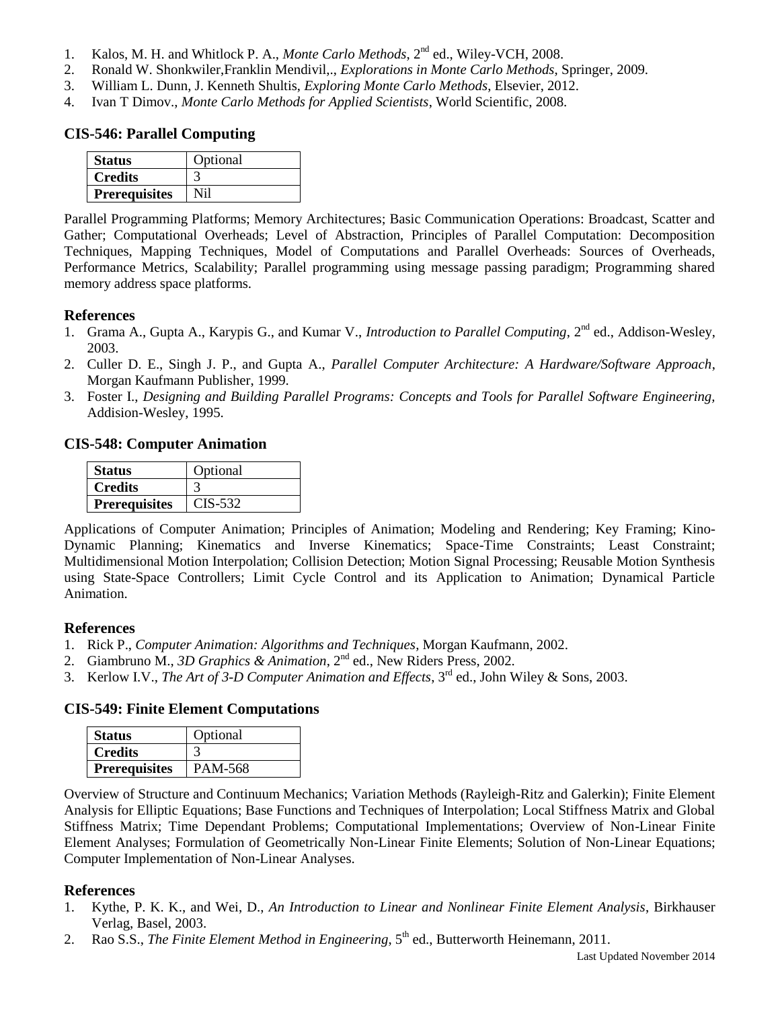- 1. Kalos, M. H. and Whitlock P. A., *Monte Carlo Methods*, 2nd ed., Wiley-VCH, 2008.
- 2. Ronald W. Shonkwiler,Franklin Mendivil,., *Explorations in Monte Carlo Methods*, Springer, 2009.
- 3. William L. Dunn, J. Kenneth Shultis, *Exploring Monte Carlo Methods*, Elsevier, 2012.
- 4. Ivan T Dimov., *Monte Carlo Methods for Applied Scientists*, World Scientific, 2008.

## **CIS-546: Parallel Computing**

| <b>Status</b>        | Optional |
|----------------------|----------|
| <b>Credits</b>       |          |
| <b>Prerequisites</b> | Nil      |

Parallel Programming Platforms; Memory Architectures; Basic Communication Operations: Broadcast, Scatter and Gather; Computational Overheads; Level of Abstraction, Principles of Parallel Computation: Decomposition Techniques, Mapping Techniques, Model of Computations and Parallel Overheads: Sources of Overheads, Performance Metrics, Scalability; Parallel programming using message passing paradigm; Programming shared memory address space platforms.

## **References**

- 1. Grama A., Gupta A., Karypis G., and Kumar V., *Introduction to Parallel Computing*, 2nd ed., Addison-Wesley, 2003.
- 2. Culler D. E., Singh J. P., and Gupta A., *Parallel Computer Architecture: A Hardware/Software Approach*, Morgan Kaufmann Publisher, 1999.
- 3. Foster I., *Designing and Building Parallel Programs: Concepts and Tools for Parallel Software Engineering,* Addision-Wesley, 1995.

## **CIS-548: Computer Animation**

| <b>Status</b>        | Optional  |
|----------------------|-----------|
| <b>Credits</b>       |           |
| <b>Prerequisites</b> | $CIS-532$ |

Applications of Computer Animation; Principles of Animation; Modeling and Rendering; Key Framing; Kino-Dynamic Planning; Kinematics and Inverse Kinematics; Space-Time Constraints; Least Constraint; Multidimensional Motion Interpolation; Collision Detection; Motion Signal Processing; Reusable Motion Synthesis using State-Space Controllers; Limit Cycle Control and its Application to Animation; Dynamical Particle Animation.

## **References**

- 1. Rick P., *Computer Animation: Algorithms and Techniques*, Morgan Kaufmann, 2002.
- 2. Giambruno M., *3D Graphics & Animation*, 2<sup>nd</sup> ed., New Riders Press, 2002.
- 3. Kerlow I.V., *The Art of 3-D Computer Animation and Effects*, 3rd ed., John Wiley & Sons, 2003.

## **CIS-549: Finite Element Computations**

| <b>Status</b>        | Optional |
|----------------------|----------|
| <b>Credits</b>       |          |
| <b>Prerequisites</b> | PAM-568  |

Overview of Structure and Continuum Mechanics; Variation Methods (Rayleigh-Ritz and Galerkin); Finite Element Analysis for Elliptic Equations; Base Functions and Techniques of Interpolation; Local Stiffness Matrix and Global Stiffness Matrix; Time Dependant Problems; Computational Implementations; Overview of Non-Linear Finite Element Analyses; Formulation of Geometrically Non-Linear Finite Elements; Solution of Non-Linear Equations; Computer Implementation of Non-Linear Analyses.

- 1. Kythe, P. K. K., and Wei, D., *An Introduction to Linear and Nonlinear Finite Element Analysis*, Birkhauser Verlag, Basel, 2003.
- 2. Rao S.S., *The Finite Element Method in Engineering*, 5<sup>th</sup> ed., Butterworth Heinemann, 2011.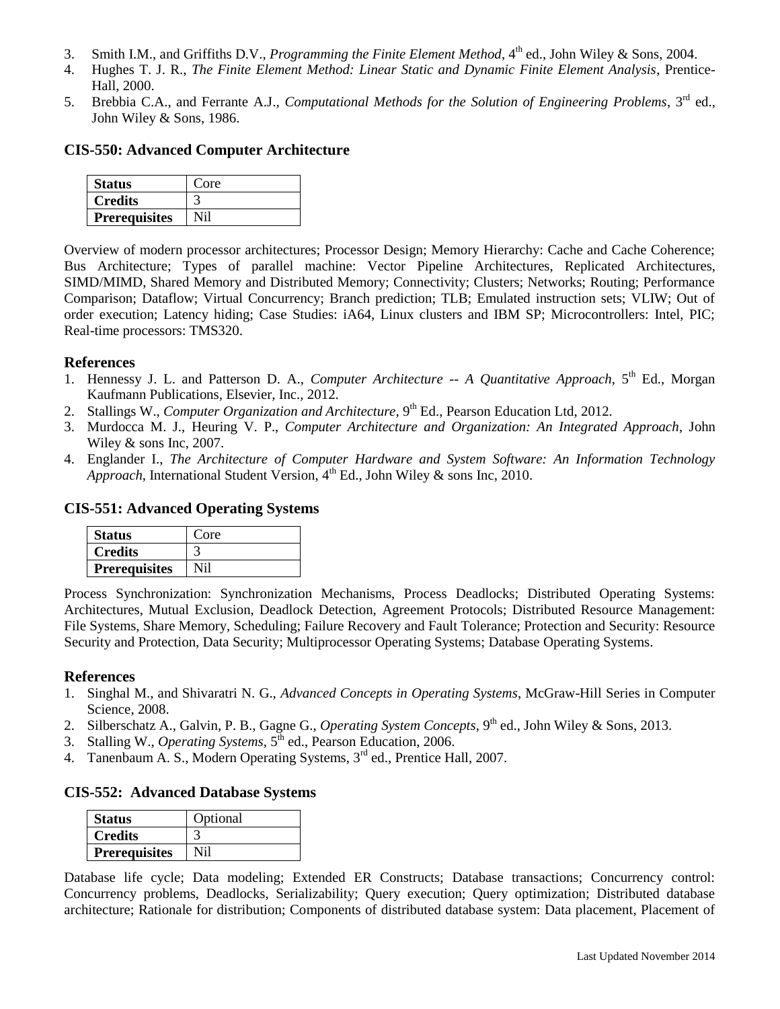- 3. Smith I.M., and Griffiths D.V., *Programming the Finite Element Method*, 4<sup>th</sup> ed., John Wiley & Sons, 2004.
- 4. Hughes T. J. R., *The Finite Element Method: Linear Static and Dynamic Finite Element Analysis*, Prentice-Hall, 2000.
- 5. Brebbia C.A., and Ferrante A.J., *Computational Methods for the Solution of Engineering Problems*, 3rd ed., John Wiley & Sons, 1986.

## **CIS-550: Advanced Computer Architecture**

| <b>Status</b>        | Core |
|----------------------|------|
| <b>Credits</b>       |      |
| <b>Prerequisites</b> |      |

Overview of modern processor architectures; Processor Design; Memory Hierarchy: Cache and Cache Coherence; Bus Architecture; Types of parallel machine: Vector Pipeline Architectures, Replicated Architectures, SIMD/MIMD, Shared Memory and Distributed Memory; Connectivity; Clusters; Networks; Routing; Performance Comparison; Dataflow; Virtual Concurrency; Branch prediction; TLB; Emulated instruction sets; VLIW; Out of order execution; Latency hiding; Case Studies: iA64, Linux clusters and IBM SP; Microcontrollers: Intel, PIC; Real-time processors: TMS320.

#### **References**

- 1. Hennessy J. L. and Patterson D. A., *[Computer Architecture --](http://textbooks.elsevier.com/web/product_details.aspx?isbn=9780123838728) A Quantitative Approach*, 5<sup>th</sup> Ed., Morgan Kaufmann Publications, Elsevier, Inc., 2012.
- 2. Stallings W., *Computer Organization and Architecture*, 9<sup>th</sup> Ed., Pearson Education Ltd, 2012.
- 3. [Murdocca](http://eu.wiley.com/WileyCDA/Section/id-302479.html?query=Miles+J.+Murdocca) M. J., [Heuring](http://eu.wiley.com/WileyCDA/Section/id-302479.html?query=Vincent+P.+Heuring) V. P., *Computer Architecture and Organization: An Integrated Approach*, John Wiley & sons Inc, 2007.
- 4. [Englander](http://eu.wiley.com/WileyCDA/Section/id-302479.html?query=Irv+Englander) I., *[The Architecture of Computer Hardware and System Software: An Information Technology](http://eu.wiley.com/WileyCDA/WileyTitle/productCd-0470400285.html?filter=TEXTBOOK)  Approach*, International Student Version,  $4<sup>th</sup>$  Ed., John Wiley & sons Inc, 2010.

## **CIS-551: Advanced Operating Systems**

| <b>Status</b>        | Core |
|----------------------|------|
| <b>Credits</b>       |      |
| <b>Prerequisites</b> |      |

Process Synchronization: Synchronization Mechanisms, Process Deadlocks; Distributed Operating Systems: Architectures, Mutual Exclusion, Deadlock Detection, Agreement Protocols; Distributed Resource Management: File Systems, Share Memory, Scheduling; Failure Recovery and Fault Tolerance; Protection and Security: Resource Security and Protection, Data Security; Multiprocessor Operating Systems; Database Operating Systems.

#### **References**

- 1. Singhal M., and Shivaratri N. G., *Advanced Concepts in Operating Systems*, McGraw-Hill Series in Computer Science, 2008.
- 2. Silberschatz A., Galvin, P. B., Gagne G., *Operating System Concepts*, 9<sup>th</sup> ed., John Wiley & Sons, 2013.
- 3. Stalling W., *Operating Systems*,  $5^{\text{th}}$  ed., Pearson Education, 2006.
- 4. Tanenbaum A. S., Modern Operating Systems, 3<sup>rd</sup> ed., Prentice Hall, 2007.

## **CIS-552: Advanced Database Systems**

| <b>Status</b>        | Optional |
|----------------------|----------|
| <b>Credits</b>       |          |
| <b>Prerequisites</b> | Ni1      |

Database life cycle; Data modeling; Extended ER Constructs; Database transactions; Concurrency control: Concurrency problems, Deadlocks, Serializability; Query execution; Query optimization; Distributed database architecture; Rationale for distribution; Components of distributed database system: Data placement, Placement of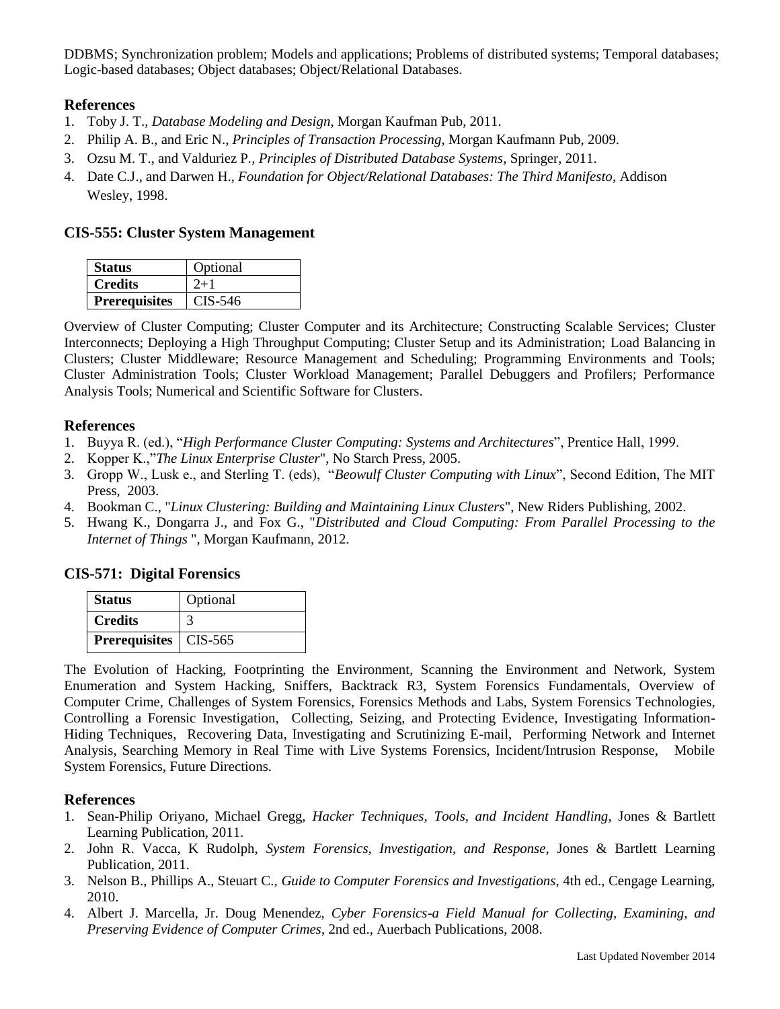DDBMS; Synchronization problem; Models and applications; Problems of distributed systems; Temporal databases; Logic-based databases; Object databases; Object/Relational Databases.

## **References**

- 1. Toby J. T., *Database Modeling and Design*, Morgan Kaufman Pub, 2011.
- 2. Philip A. B., and Eric N., *Principles of Transaction Processing*, Morgan Kaufmann Pub, 2009.
- 3. Ozsu M. T., and Valduriez P*., Principles of Distributed Database Systems*, Springer, 2011.
- 4. Date C.J., and Darwen H., *Foundation for Object/Relational Databases: The Third Manifesto*, Addison Wesley, 1998.

#### **CIS-555: Cluster System Management**

| <b>Status</b>        | Optional  |
|----------------------|-----------|
| <b>Credits</b>       | $2+1$     |
| <b>Prerequisites</b> | $CIS-546$ |

Overview of Cluster Computing; Cluster Computer and its Architecture; Constructing Scalable Services; Cluster Interconnects; Deploying a High Throughput Computing; Cluster Setup and its Administration; Load Balancing in Clusters; Cluster Middleware; Resource Management and Scheduling; Programming Environments and Tools; Cluster Administration Tools; Cluster Workload Management; Parallel Debuggers and Profilers; Performance Analysis Tools; Numerical and Scientific Software for Clusters.

#### **References**

- 1. Buyya R. (ed.), "*High Performance Cluster Computing: Systems and Architectures*", Prentice Hall, 1999.
- 2. Kopper K.,"*The Linux Enterprise Cluster*", No Starch Press, 2005.
- 3. Gropp W., Lusk e., and Sterling T. (eds), "*Beowulf Cluster Computing with Linux*", Second Edition, The MIT Press, 2003.
- 4. Bookman C., "*Linux Clustering: Building and Maintaining Linux Clusters*", New Riders Publishing, 2002.
- 5. Hwang K., Dongarra J., and Fox G., "*Distributed and Cloud Computing: From Parallel Processing to the Internet of Things* ", Morgan Kaufmann, 2012.

## **CIS-571: Digital Forensics**

| <b>Status</b>                  | Optional |
|--------------------------------|----------|
| <b>Credits</b>                 |          |
| <b>Prerequisites</b>   CIS-565 |          |

The Evolution of Hacking, Footprinting the Environment, Scanning the Environment and Network, System Enumeration and System Hacking, Sniffers, Backtrack R3, System Forensics Fundamentals, Overview of Computer Crime, Challenges of System Forensics, Forensics Methods and Labs, System Forensics Technologies, Controlling a Forensic Investigation, Collecting, Seizing, and Protecting Evidence, Investigating Information-Hiding Techniques, Recovering Data, Investigating and Scrutinizing E-mail, Performing Network and Internet Analysis, Searching Memory in Real Time with Live Systems Forensics, Incident/Intrusion Response, Mobile System Forensics, Future Directions.

- 1. Sean-Philip Oriyano, Michael Gregg, *Hacker Techniques, Tools, and Incident Handling*, Jones & Bartlett Learning Publication, 2011.
- 2. John R. Vacca, K Rudolph, *System Forensics, Investigation, and Response*, Jones & Bartlett Learning Publication, 2011.
- 3. Nelson B., Phillips A., Steuart C., *Guide to Computer Forensics and Investigations*, 4th ed., Cengage Learning, 2010.
- 4. Albert J. Marcella, Jr. Doug Menendez, *Cyber Forensics-a Field Manual for Collecting, Examining, and Preserving Evidence of Computer Crimes*, 2nd ed., Auerbach Publications, 2008.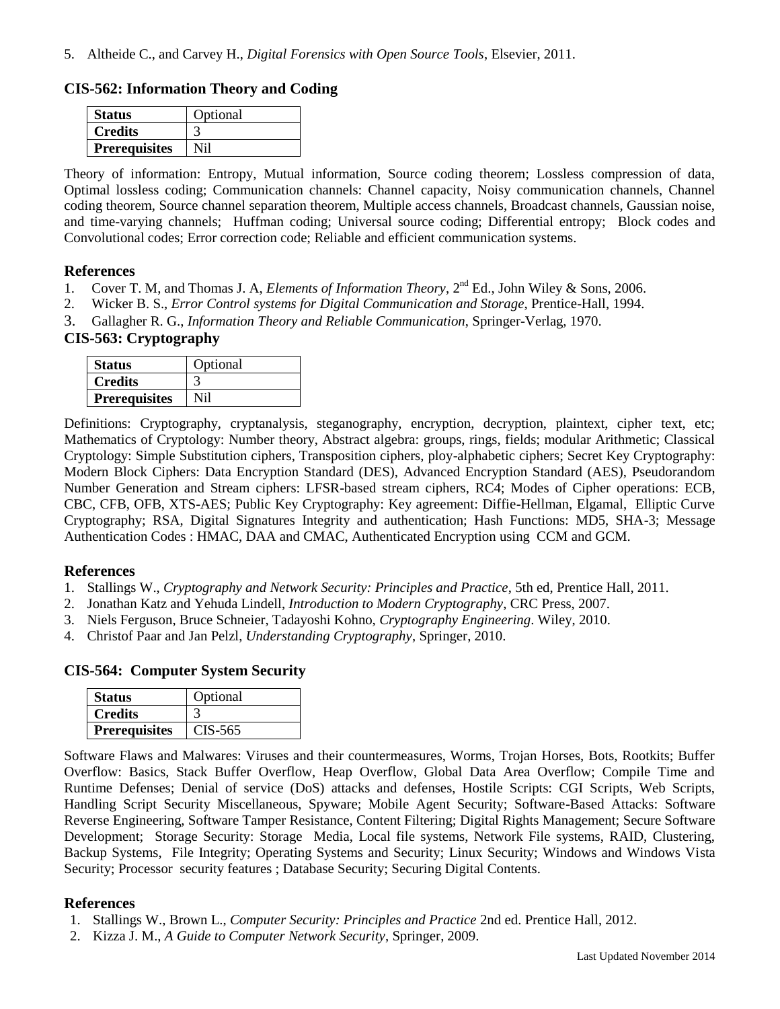#### **CIS-562: Information Theory and Coding**

| <b>Status</b>        | Optional |
|----------------------|----------|
| <b>Credits</b>       |          |
| <b>Prerequisites</b> | Ni1      |

Theory of information: Entropy, Mutual information, Source coding theorem; Lossless compression of data, Optimal lossless coding; Communication channels: Channel capacity, Noisy communication channels, Channel coding theorem, Source channel separation theorem, Multiple access channels, Broadcast channels, Gaussian noise, and time-varying channels; Huffman coding; Universal source coding; Differential entropy; Block codes and Convolutional codes; Error correction code; Reliable and efficient communication systems.

#### **References**

- 1. Cover T. M, and Thomas J. A, *Elements of Information Theory*,  $2^{nd}$  Ed., John Wiley & Sons, 2006.
- 2. Wicker B. S., *Error Control systems for Digital Communication and Storage*, Prentice-Hall, 1994.
- 3. Gallagher R. G., *Information Theory and Reliable Communication*, Springer-Verlag, 1970.

## **CIS-563: Cryptography**

| <b>Status</b>        | Optional |
|----------------------|----------|
| <b>Credits</b>       |          |
| <b>Prerequisites</b> |          |

Definitions: Cryptography, cryptanalysis, steganography, encryption, decryption, plaintext, cipher text, etc; Mathematics of Cryptology: Number theory, Abstract algebra: groups, rings, fields; modular Arithmetic; Classical Cryptology: Simple Substitution ciphers, Transposition ciphers, ploy-alphabetic ciphers; Secret Key Cryptography: Modern Block Ciphers: Data Encryption Standard (DES), Advanced Encryption Standard (AES), Pseudorandom Number Generation and Stream ciphers: LFSR-based stream ciphers, RC4; Modes of Cipher operations: ECB, CBC, CFB, OFB, XTS-AES; Public Key Cryptography: Key agreement: Diffie-Hellman, Elgamal, Elliptic Curve Cryptography; RSA, Digital Signatures Integrity and authentication; Hash Functions: MD5, SHA-3; Message Authentication Codes : HMAC, DAA and CMAC, Authenticated Encryption using CCM and GCM.

#### **References**

- 1. Stallings W., *Cryptography and Network Security: Principles and Practice*, 5th ed, Prentice Hall, 2011.
- 2. Jonathan Katz and Yehuda Lindell, *Introduction to Modern Cryptography*, CRC Press, 2007.
- 3. Niels Ferguson, Bruce Schneier, Tadayoshi Kohno, *Cryptography Engineering*. Wiley, 2010.
- 4. Christof Paar and Jan Pelzl, *Understanding Cryptography*, Springer, 2010.

#### **CIS-564: Computer System Security**

| <b>Status</b>        | Optional |
|----------------------|----------|
| <b>Credits</b>       |          |
| <b>Prerequisites</b> | CIS-565  |

Software Flaws and Malwares: Viruses and their countermeasures, Worms, Trojan Horses, Bots, Rootkits; Buffer Overflow: Basics, Stack Buffer Overflow, Heap Overflow, Global Data Area Overflow; Compile Time and Runtime Defenses; Denial of service (DoS) attacks and defenses, Hostile Scripts: CGI Scripts, Web Scripts, Handling Script Security Miscellaneous, Spyware; Mobile Agent Security; Software-Based Attacks: Software Reverse Engineering, Software Tamper Resistance, Content Filtering; Digital Rights Management; Secure Software Development; Storage Security: Storage Media, Local file systems, Network File systems, RAID, Clustering, Backup Systems, File Integrity; Operating Systems and Security; Linux Security; Windows and Windows Vista Security; Processor security features ; Database Security; Securing Digital Contents.

- 1. Stallings W., Brown L., *Computer Security: Principles and Practice* 2nd ed. Prentice Hall, 2012.
- 2. Kizza J. M., *A Guide to Computer Network Security*, Springer, 2009.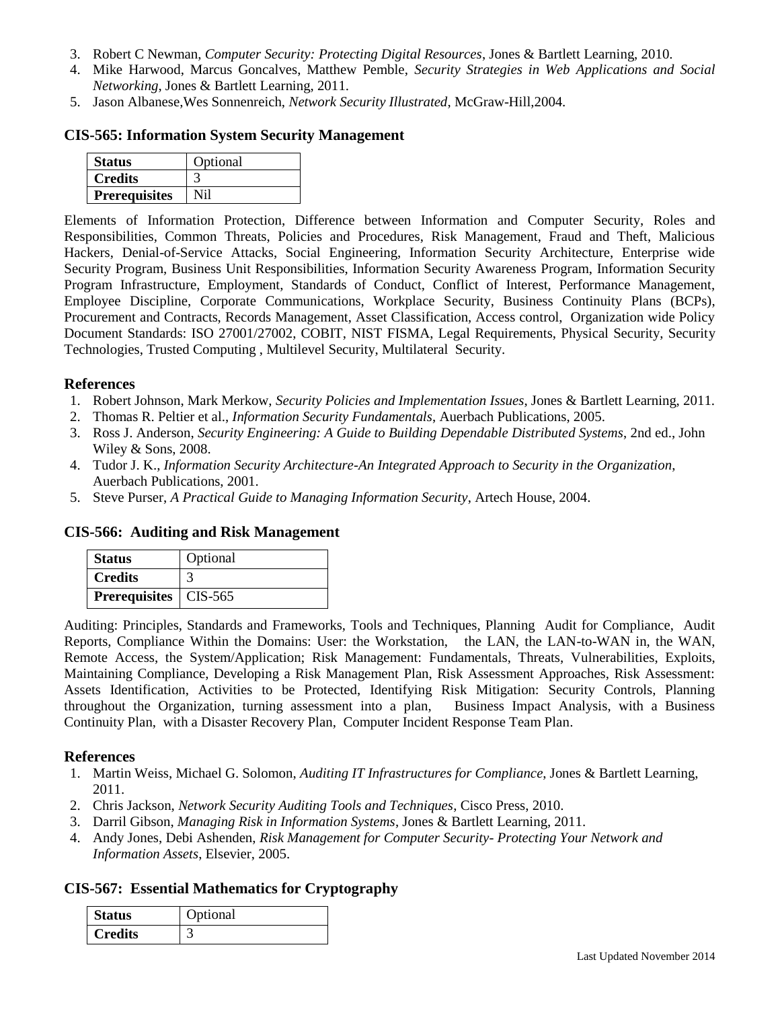- 3. Robert C Newman, *Computer Security: Protecting Digital Resources*, Jones & Bartlett Learning, 2010.
- 4. Mike Harwood, Marcus Goncalves, Matthew Pemble, *Security Strategies in Web Applications and Social Networking*, Jones & Bartlett Learning, 2011.
- 5. Jason Albanese,Wes Sonnenreich, *Network Security Illustrated*, McGraw-Hill,2004.

#### **CIS-565: Information System Security Management**

| <b>Status</b>        | Optional |
|----------------------|----------|
| <b>Credits</b>       |          |
| <b>Prerequisites</b> |          |

Elements of Information Protection, Difference between Information and Computer Security, Roles and Responsibilities, Common Threats, Policies and Procedures, Risk Management, Fraud and Theft, Malicious Hackers, Denial-of-Service Attacks, Social Engineering, Information Security Architecture, Enterprise wide Security Program, Business Unit Responsibilities, Information Security Awareness Program, Information Security Program Infrastructure, Employment, Standards of Conduct, Conflict of Interest, Performance Management, Employee Discipline, Corporate Communications, Workplace Security, Business Continuity Plans (BCPs), Procurement and Contracts, Records Management, Asset Classification, Access control, Organization wide Policy Document Standards: ISO 27001/27002, COBIT, NIST FISMA, Legal Requirements, Physical Security, Security Technologies, Trusted Computing , Multilevel Security, Multilateral Security.

#### **References**

- 1. Robert Johnson, Mark Merkow, *Security Policies and Implementation Issues*, Jones & Bartlett Learning, 2011.
- 2. Thomas R. Peltier et al., *Information Security Fundamentals*, Auerbach Publications, 2005.
- 3. Ross J. Anderson, *Security Engineering: A Guide to Building Dependable Distributed Systems*, 2nd ed., John Wiley & Sons, 2008.
- 4. Tudor J. K., *Information Security Architecture-An Integrated Approach to Security in the Organization*, Auerbach Publications, 2001.
- 5. Steve Purser, *A Practical Guide to Managing Information Security*, Artech House, 2004.

#### **CIS-566: Auditing and Risk Management**

| <b>Status</b>                  | Optional |
|--------------------------------|----------|
| <b>Credits</b>                 |          |
| <b>Prerequisites</b>   CIS-565 |          |

Auditing: Principles, Standards and Frameworks, Tools and Techniques, Planning Audit for Compliance, Audit Reports, Compliance Within the Domains: User: the Workstation, the LAN, the LAN-to-WAN in, the WAN, Remote Access, the System/Application; Risk Management: Fundamentals, Threats, Vulnerabilities, Exploits, Maintaining Compliance, Developing a Risk Management Plan, Risk Assessment Approaches, Risk Assessment: Assets Identification, Activities to be Protected, Identifying Risk Mitigation: Security Controls, Planning throughout the Organization, turning assessment into a plan, Business Impact Analysis, with a Business Continuity Plan, with a Disaster Recovery Plan, Computer Incident Response Team Plan.

#### **References**

- 1. Martin Weiss, Michael G. Solomon, *Auditing IT Infrastructures for Compliance*, Jones & Bartlett Learning, 2011.
- 2. Chris Jackson, *Network Security Auditing Tools and Techniques*, Cisco Press, 2010.
- 3. Darril Gibson, *Managing Risk in Information Systems*, Jones & Bartlett Learning, 2011.
- 4. Andy Jones, Debi Ashenden, *Risk Management for Computer Security- Protecting Your Network and Information Assets*, Elsevier, 2005.

#### **CIS-567: Essential Mathematics for Cryptography**

| <b>Status</b>  | Optional |
|----------------|----------|
| <b>Credits</b> |          |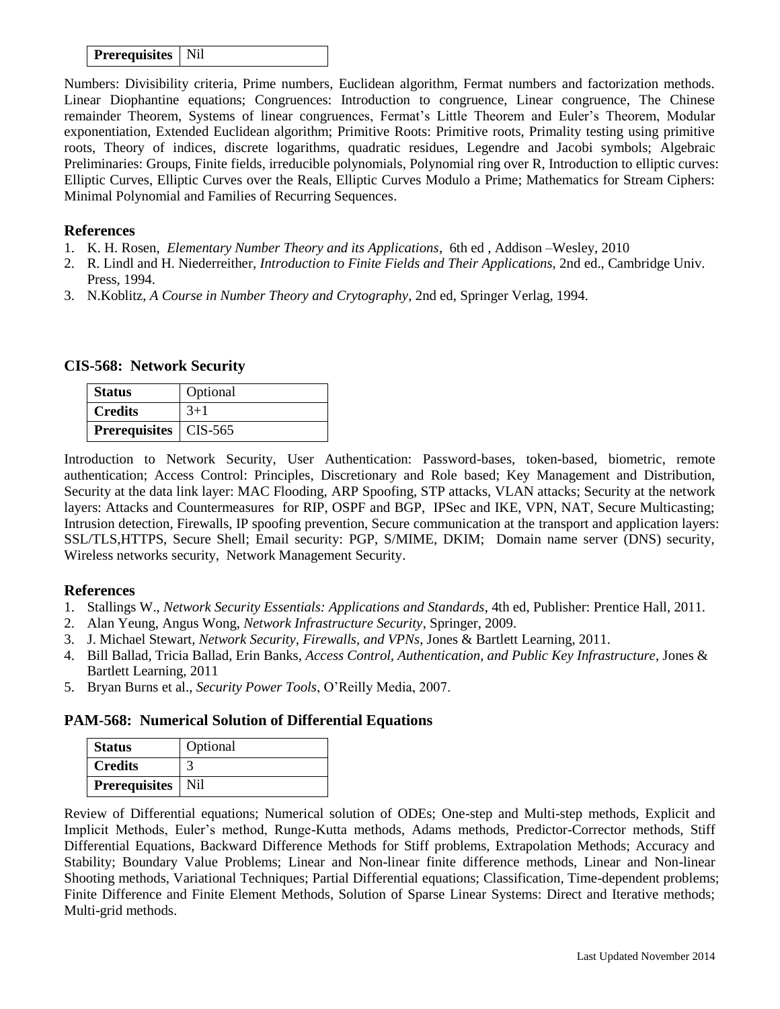#### **Prerequisites** | Nil

Numbers: Divisibility criteria, Prime numbers, Euclidean algorithm, Fermat numbers and factorization methods. Linear Diophantine equations; Congruences: Introduction to congruence, Linear congruence, The Chinese remainder Theorem, Systems of linear congruences, Fermat's Little Theorem and Euler's Theorem, Modular exponentiation, Extended Euclidean algorithm; Primitive Roots: Primitive roots, Primality testing using primitive roots, Theory of indices, discrete logarithms, quadratic residues, Legendre and Jacobi symbols; Algebraic Preliminaries: Groups, Finite fields, irreducible polynomials, Polynomial ring over R, Introduction to elliptic curves: Elliptic Curves, Elliptic Curves over the Reals, Elliptic Curves Modulo a Prime; Mathematics for Stream Ciphers: Minimal Polynomial and Families of Recurring Sequences.

#### **References**

- 1. K. H. Rosen, *Elementary Number Theory and its Applications*, 6th ed , Addison –Wesley, 2010
- 2. R. Lindl and H. Niederreither, *Introduction to Finite Fields and Their Applications*, 2nd ed., Cambridge Univ. Press, 1994.
- 3. N.Koblitz, *A Course in Number Theory and Crytography*, 2nd ed, Springer Verlag, 1994.

#### **CIS-568: Network Security**

| <b>Status</b>           | Optional |
|-------------------------|----------|
| <b>Credits</b>          | $3+1$    |
| Prerequisites   CIS-565 |          |

Introduction to Network Security, User Authentication: Password-bases, token-based, biometric, remote authentication; Access Control: Principles, Discretionary and Role based; Key Management and Distribution, Security at the data link layer: MAC Flooding, ARP Spoofing, STP attacks, VLAN attacks; Security at the network layers: Attacks and Countermeasures for RIP, OSPF and BGP, IPSec and IKE, VPN, NAT, Secure Multicasting; Intrusion detection, Firewalls, IP spoofing prevention, Secure communication at the transport and application layers: SSL/TLS,HTTPS, Secure Shell; Email security: PGP, S/MIME, DKIM; Domain name server (DNS) security, Wireless networks security, Network Management Security.

## **References**

- 1. Stallings W., *Network Security Essentials: Applications and Standards*, 4th ed, Publisher: Prentice Hall, 2011.
- 2. Alan Yeung, Angus Wong, *Network Infrastructure Security*, Springer, 2009.
- 3. J. Michael Stewart, *Network Security, Firewalls, and VPNs*, Jones & Bartlett Learning, 2011.
- 4. Bill Ballad, Tricia Ballad, Erin Banks, *Access Control, Authentication, and Public Key Infrastructure*, Jones & Bartlett Learning, 2011
- 5. Bryan Burns et al., *Security Power Tools*, O'Reilly Media, 2007.

#### **PAM-568: Numerical Solution of Differential Equations**

| <b>Status</b>              | Optional |
|----------------------------|----------|
| <b>Credits</b>             |          |
| <b>Prerequisites</b>   Nil |          |

Review of Differential equations; Numerical solution of ODEs; One-step and Multi-step methods, Explicit and Implicit Methods, Euler's method, Runge-Kutta methods, Adams methods, Predictor-Corrector methods, Stiff Differential Equations, Backward Difference Methods for Stiff problems, Extrapolation Methods; Accuracy and Stability; Boundary Value Problems; Linear and Non-linear finite difference methods, Linear and Non-linear Shooting methods, Variational Techniques; Partial Differential equations; Classification, Time-dependent problems; Finite Difference and Finite Element Methods, Solution of Sparse Linear Systems: Direct and Iterative methods; Multi-grid methods.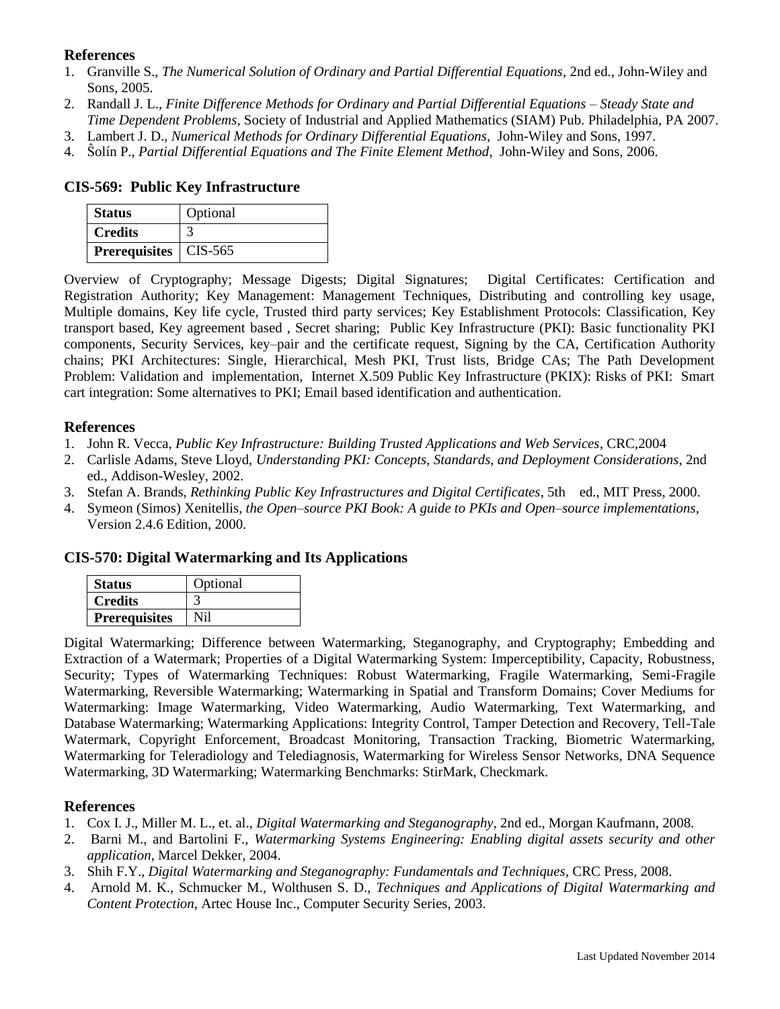## **References**

- 1. Granville S., *The Numerical Solution of Ordinary and Partial Differential Equations*, 2nd ed., John-Wiley and Sons, 2005.
- 2. Randall J. L., *Finite Difference Methods for Ordinary and Partial Differential Equations – Steady State and Time Dependent Problems*, Society of Industrial and Applied Mathematics (SIAM) Pub. Philadelphia, PA 2007.
- 3. Lambert J. D., *Numerical Methods for Ordinary Differential Equations*, John-Wiley and Sons, 1997.
- 4. Ŝolín P., *Partial Differential Equations and The Finite Element Method*, John-Wiley and Sons, 2006.

#### **CIS-569: Public Key Infrastructure**

| <b>Status</b>                  | Optional |
|--------------------------------|----------|
| <b>Credits</b>                 |          |
| <b>Prerequisites</b>   CIS-565 |          |

Overview of Cryptography; Message Digests; Digital Signatures; Digital Certificates: Certification and Registration Authority; Key Management: Management Techniques, Distributing and controlling key usage, Multiple domains, Key life cycle, Trusted third party services; Key Establishment Protocols: Classification, Key transport based, Key agreement based , Secret sharing; Public Key Infrastructure (PKI): Basic functionality PKI components, Security Services, key–pair and the certificate request, Signing by the CA, Certification Authority chains; PKI Architectures: Single, Hierarchical, Mesh PKI, Trust lists, Bridge CAs; The Path Development Problem: Validation and implementation, Internet X.509 Public Key Infrastructure (PKIX): Risks of PKI: Smart cart integration: Some alternatives to PKI; Email based identification and authentication.

#### **References**

- 1. John R. Vecca, *Public Key Infrastructure: Building Trusted Applications and Web Services*, CRC,2004
- 2. Carlisle Adams, Steve Lloyd, *Understanding PKI: Concepts, Standards, and Deployment Considerations*, 2nd ed., Addison-Wesley, 2002.
- 3. Stefan A. Brands, *Rethinking Public Key Infrastructures and Digital Certificates*, 5th ed., MIT Press, 2000.
- 4. Symeon (Simos) Xenitellis, *the Open–source PKI Book: A guide to PKIs and Open–source implementations*, Version 2.4.6 Edition, 2000.

## **CIS-570: Digital Watermarking and Its Applications**

| <b>Status</b>        | Optional |
|----------------------|----------|
| <b>Credits</b>       |          |
| <b>Prerequisites</b> | Nil      |

Digital Watermarking; Difference between Watermarking, Steganography, and Cryptography; Embedding and Extraction of a Watermark; Properties of a Digital Watermarking System: Imperceptibility, Capacity, Robustness, Security; Types of Watermarking Techniques: Robust Watermarking, Fragile Watermarking, Semi-Fragile Watermarking, Reversible Watermarking; Watermarking in Spatial and Transform Domains; Cover Mediums for Watermarking: Image Watermarking, Video Watermarking, Audio Watermarking, Text Watermarking, and Database Watermarking; Watermarking Applications: Integrity Control, Tamper Detection and Recovery, Tell-Tale Watermark, Copyright Enforcement, Broadcast Monitoring, Transaction Tracking, Biometric Watermarking, Watermarking for Teleradiology and Telediagnosis, Watermarking for Wireless Sensor Networks, DNA Sequence Watermarking, 3D Watermarking; Watermarking Benchmarks: StirMark, Checkmark.

- 1. Cox I. J., Miller M. L., et. al., *Digital Watermarking and Steganography*, 2nd ed., Morgan Kaufmann, 2008.
- 2. Barni M., and Bartolini F., *Watermarking Systems Engineering: Enabling digital assets security and other application*, Marcel Dekker, 2004.
- 3. Shih F.Y., *Digital Watermarking and Steganography: Fundamentals and Techniques*, CRC Press, 2008.
- 4. Arnold M. K., Schmucker M., Wolthusen S. D., *Techniques and Applications of Digital Watermarking and Content Protection*, Artec House Inc., Computer Security Series, 2003.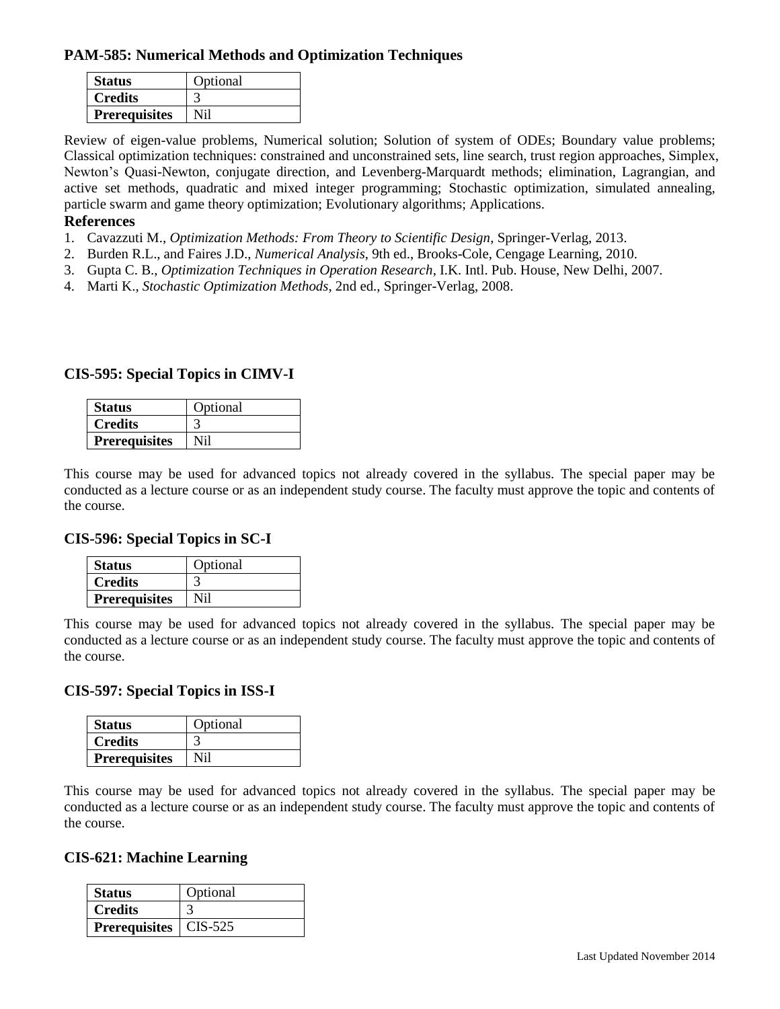## **PAM-585: Numerical Methods and Optimization Techniques**

| <b>Status</b>        | Optional |
|----------------------|----------|
| <b>Credits</b>       |          |
| <b>Prerequisites</b> | Ni1      |

Review of eigen-value problems, Numerical solution; Solution of system of ODEs; Boundary value problems; Classical optimization techniques: constrained and unconstrained sets, line search, trust region approaches, Simplex, Newton's Quasi-Newton, conjugate direction, and Levenberg-Marquardt methods; elimination, Lagrangian, and active set methods, quadratic and mixed integer programming; Stochastic optimization, simulated annealing, particle swarm and game theory optimization; Evolutionary algorithms; Applications.

#### **References**

- 1. Cavazzuti M., *Optimization Methods: From Theory to Scientific Design*, Springer-Verlag, 2013.
- 2. Burden R.L., and Faires J.D., *Numerical Analysis*, 9th ed., Brooks-Cole, Cengage Learning, 2010.
- 3. Gupta C. B., *Optimization Techniques in Operation Research*, I.K. Intl. Pub. House, New Delhi, 2007.
- 4. Marti K., *Stochastic Optimization Methods*, 2nd ed., Springer-Verlag, 2008.

#### **CIS-595: Special Topics in CIMV-I**

| <b>Status</b>        | Optional |
|----------------------|----------|
| <b>Credits</b>       |          |
| <b>Prerequisites</b> |          |

This course may be used for advanced topics not already covered in the syllabus. The special paper may be conducted as a lecture course or as an independent study course. The faculty must approve the topic and contents of the course.

#### **CIS-596: Special Topics in SC-I**

| <b>Status</b>        | Optional |
|----------------------|----------|
| Credits              |          |
| <b>Prerequisites</b> |          |

This course may be used for advanced topics not already covered in the syllabus. The special paper may be conducted as a lecture course or as an independent study course. The faculty must approve the topic and contents of the course.

#### **CIS-597: Special Topics in ISS-I**

| <b>Status</b>        | Optional |
|----------------------|----------|
| <b>Credits</b>       |          |
| <b>Prerequisites</b> | NH 1     |

This course may be used for advanced topics not already covered in the syllabus. The special paper may be conducted as a lecture course or as an independent study course. The faculty must approve the topic and contents of the course.

#### **CIS-621: Machine Learning**

| <b>Status</b>                  | Optional |
|--------------------------------|----------|
| <b>Credits</b>                 |          |
| <b>Prerequisites</b>   CIS-525 |          |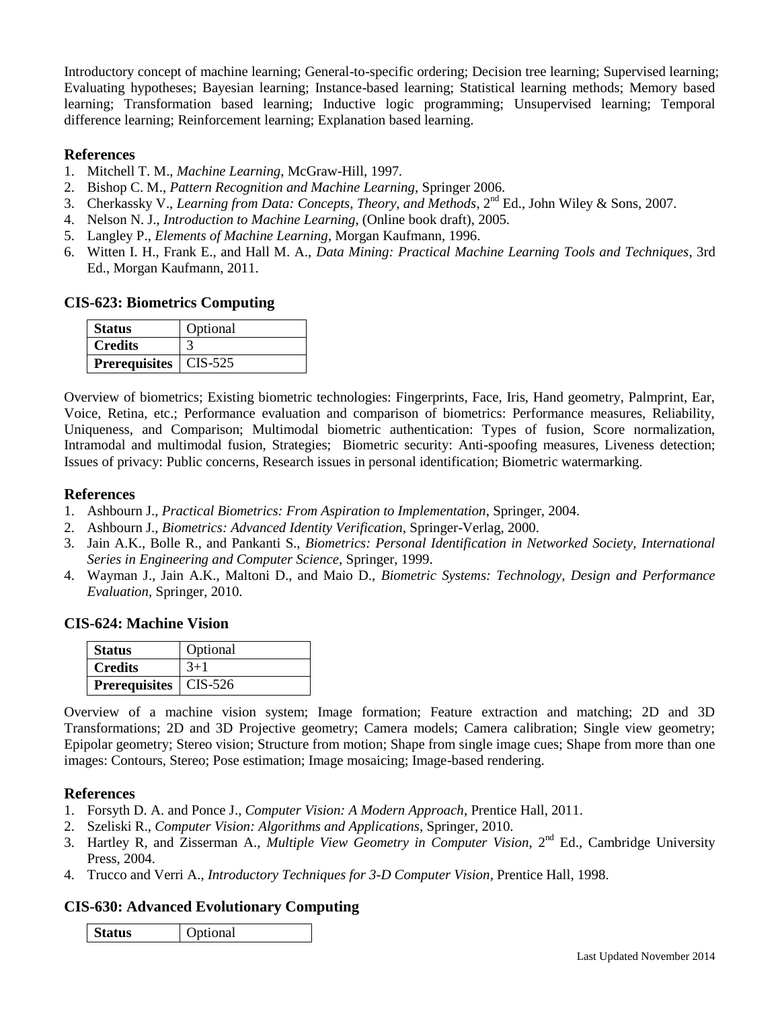Introductory concept of machine learning; General-to-specific ordering; Decision tree learning; Supervised learning; Evaluating hypotheses; Bayesian learning; Instance-based learning; Statistical learning methods; Memory based learning; Transformation based learning; Inductive logic programming; Unsupervised learning; Temporal difference learning; Reinforcement learning; Explanation based learning.

## **References**

- 1. Mitchell T. M., *Machine Learning*, McGraw-Hill, 1997.
- 2. Bishop C. M., *Pattern Recognition and Machine Learning*, Springer 2006.
- 3. Cherkassky V., *Learning from Data: Concepts, Theory, and Methods*, 2<sup>nd</sup> Ed., John Wiley & Sons, 2007.
- 4. Nelson N. J., *Introduction to Machine Learning*, (Online book draft), 2005.
- 5. Langley P., *Elements of Machine Learning*, Morgan Kaufmann, 1996.
- 6. Witten I. H., Frank E., and Hall M. A., *Data Mining: Practical Machine Learning Tools and Techniques*, 3rd Ed., Morgan Kaufmann, 2011.

#### **CIS-623: Biometrics Computing**

| <b>Status</b>                  | Optional |
|--------------------------------|----------|
| <b>Credits</b>                 |          |
| <b>Prerequisites</b>   CIS-525 |          |

Overview of biometrics; Existing biometric technologies: Fingerprints, Face, Iris, Hand geometry, Palmprint, Ear, Voice, Retina, etc.; Performance evaluation and comparison of biometrics: Performance measures, Reliability, Uniqueness, and Comparison; Multimodal biometric authentication: Types of fusion, Score normalization, Intramodal and multimodal fusion, Strategies; Biometric security: Anti-spoofing measures, Liveness detection; Issues of privacy: Public concerns, Research issues in personal identification; Biometric watermarking.

#### **References**

- 1. Ashbourn J., *Practical Biometrics: From Aspiration to Implementation*, Springer, 2004.
- 2. Ashbourn J., *Biometrics: Advanced Identity Verification*, Springer-Verlag, 2000.
- 3. Jain A.K., Bolle R., and Pankanti S., *Biometrics: Personal Identification in Networked Society, International Series in Engineering and Computer Science*, Springer, 1999.
- 4. Wayman J., Jain A.K., Maltoni D., and Maio D., *Biometric Systems: Technology, Design and Performance Evaluation*, Springer, 2010.

#### **CIS-624: Machine Vision**

| <b>Status</b>                  | Optional |
|--------------------------------|----------|
| <b>Credits</b>                 | $3+1$    |
| <b>Prerequisites</b>   CIS-526 |          |

Overview of a machine vision system; Image formation; Feature extraction and matching; 2D and 3D Transformations; 2D and 3D Projective geometry; Camera models; Camera calibration; Single view geometry; Epipolar geometry; Stereo vision; Structure from motion; Shape from single image cues; Shape from more than one images: Contours, Stereo; Pose estimation; Image mosaicing; Image-based rendering.

#### **References**

- 1. Forsyth D. A. and Ponce J., *Computer Vision: A Modern Approach*, Prentice Hall, 2011.
- 2. Szeliski R., *Computer Vision: Algorithms and Applications*, Springer, 2010.
- 3. Hartley R, and Zisserman A., *Multiple View Geometry in Computer Vision*, 2nd Ed., Cambridge University Press, 2004.
- 4. Trucco and Verri A., *Introductory Techniques for 3-D Computer Vision*, Prentice Hall, 1998.

## **CIS-630: Advanced Evolutionary Computing**

**Status Optional**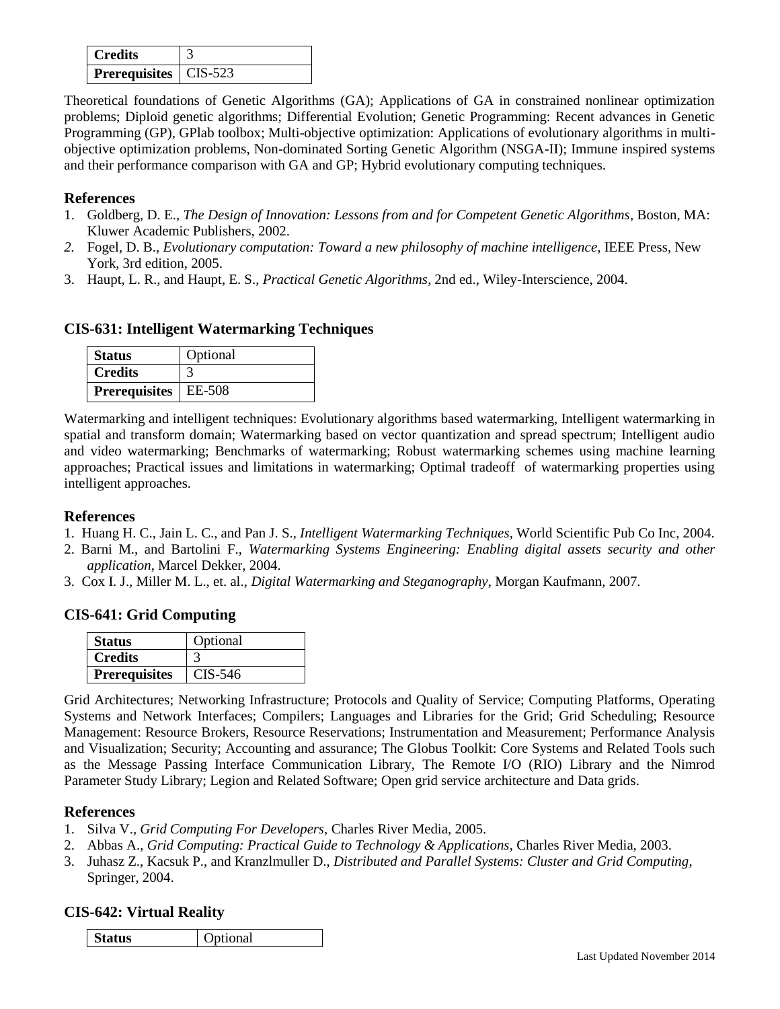| <b>Credits</b>                 |  |
|--------------------------------|--|
| <b>Prerequisites</b>   CIS-523 |  |

Theoretical foundations of Genetic Algorithms (GA); Applications of GA in constrained nonlinear optimization problems; Diploid genetic algorithms; Differential Evolution; Genetic Programming: Recent advances in Genetic Programming (GP), GPlab toolbox; Multi-objective optimization: Applications of evolutionary algorithms in multiobjective optimization problems, Non-dominated Sorting Genetic Algorithm (NSGA-II); Immune inspired systems and their performance comparison with GA and GP; Hybrid evolutionary computing techniques.

## **References**

- 1. Goldberg, D. E., *The Design of Innovation: Lessons from and for Competent Genetic Algorithms*, Boston, MA: Kluwer Academic Publishers, 2002.
- *2.* Fogel, D. B., *Evolutionary computation: Toward a new philosophy of machine intelligence,* IEEE Press, New York, 3rd edition, 2005.
- 3. Haupt, L. R., and Haupt, E. S., *Practical Genetic Algorithms*, 2nd ed., Wiley-Interscience, 2004.

## **CIS-631: Intelligent Watermarking Techniques**

| <b>Status</b>                 | Optional |
|-------------------------------|----------|
| <b>Credits</b>                |          |
| <b>Prerequisites</b>   EE-508 |          |

Watermarking and intelligent techniques: Evolutionary algorithms based watermarking, Intelligent watermarking in spatial and transform domain; Watermarking based on vector quantization and spread spectrum; Intelligent audio and video watermarking; Benchmarks of watermarking; Robust watermarking schemes using machine learning approaches; Practical issues and limitations in watermarking; Optimal tradeoff of watermarking properties using intelligent approaches.

## **References**

- 1. Huang H. C., Jain L. C., and Pan J. S., *Intelligent Watermarking Techniques*, World Scientific Pub Co Inc, 2004.
- 2. Barni M., and Bartolini F., *Watermarking Systems Engineering: Enabling digital assets security and other application*, Marcel Dekker, 2004.
- 3. Cox I. J., Miller M. L., et. al., *Digital Watermarking and Steganography*, Morgan Kaufmann, 2007.

## **CIS-641: Grid Computing**

| <b>Status</b>        | Optional |
|----------------------|----------|
| <b>Credits</b>       |          |
| <b>Prerequisites</b> | CIS-546  |

Grid Architectures; Networking Infrastructure; Protocols and Quality of Service; Computing Platforms, Operating Systems and Network Interfaces; Compilers; Languages and Libraries for the Grid; Grid Scheduling; Resource Management: Resource Brokers, Resource Reservations; Instrumentation and Measurement; Performance Analysis and Visualization; Security; Accounting and assurance; The Globus Toolkit: Core Systems and Related Tools such as the Message Passing Interface Communication Library, The Remote I/O (RIO) Library and the Nimrod Parameter Study Library; Legion and Related Software; Open grid service architecture and Data grids.

## **References**

- 1. Silva V., *Grid Computing For Developers,* Charles River Media, 2005.
- 2. Abbas A., *Grid Computing: Practical Guide to Technology & Applications*, Charles River Media, 2003.
- 3. Juhasz Z., Kacsuk P., and Kranzlmuller D., *Distributed and Parallel Systems: Cluster and Grid Computing*, Springer, 2004.

## **CIS-642: Virtual Reality**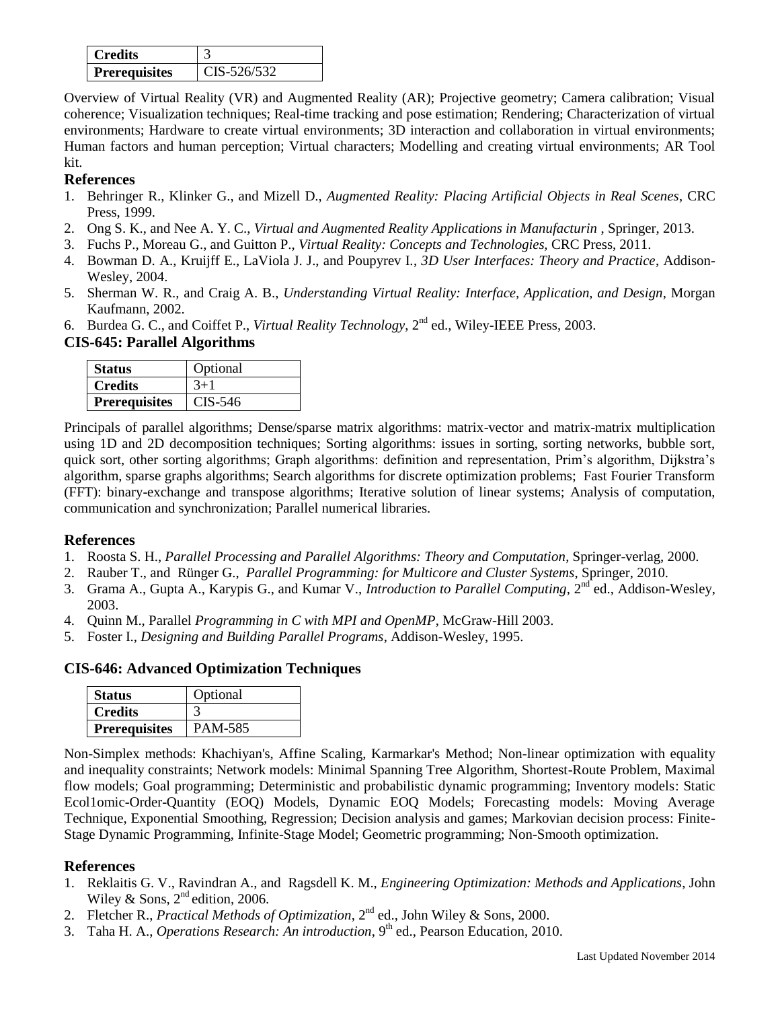| <b>Credits</b>       |             |
|----------------------|-------------|
| <b>Prerequisites</b> | CIS-526/532 |

Overview of Virtual Reality (VR) and Augmented Reality (AR); Projective geometry; Camera calibration; Visual coherence; Visualization techniques; Real-time tracking and pose estimation; Rendering; Characterization of virtual environments; Hardware to create virtual environments; 3D interaction and collaboration in virtual environments; Human factors and human perception; Virtual characters; Modelling and creating virtual environments; AR Tool kit.

## **References**

- 1. Behringer R., Klinker G., and Mizell D., *Augmented Reality: Placing Artificial Objects in Real Scenes*, CRC Press, 1999.
- 2. Ong S. K., and Nee A. Y. C., *Virtual and Augmented Reality Applications in Manufacturin* , Springer, 2013.
- 3. Fuchs P., Moreau G., and Guitton P., *Virtual Reality: Concepts and Technologies,* CRC Press, 2011.
- 4. Bowman D. A., Kruijff E., LaViola J. J., and Poupyrev I., *3D User Interfaces: Theory and Practice*, Addison-Wesley, 2004.
- 5. Sherman W. R., and Craig A. B., *Understanding Virtual Reality: Interface, Application, and Design*, Morgan Kaufmann, 2002.
- 6. Burdea G. C., and Coiffet P., *Virtual Reality Technology*, 2nd ed., Wiley-IEEE Press, 2003.

## **CIS-645: Parallel Algorithms**

| <b>Status</b>        | Optional |
|----------------------|----------|
| <b>Credits</b>       | $3+1$    |
| <b>Prerequisites</b> | CIS-546  |

Principals of parallel algorithms; Dense/sparse matrix algorithms: matrix-vector and matrix-matrix multiplication using 1D and 2D decomposition techniques; Sorting algorithms: issues in sorting, sorting networks, bubble sort, quick sort, other sorting algorithms; Graph algorithms: definition and representation, Prim's algorithm, Dijkstra's algorithm, sparse graphs algorithms; Search algorithms for discrete optimization problems; Fast Fourier Transform (FFT): binary-exchange and transpose algorithms; Iterative solution of linear systems; Analysis of computation, communication and synchronization; Parallel numerical libraries.

## **References**

- 1. Roosta S. H., *Parallel Processing and Parallel Algorithms: Theory and Computation*, Springer-verlag, 2000.
- 2. Rauber T., and Rünger G., *Parallel Programming: for Multicore and Cluster Systems*, Springer, 2010.
- 3. Grama A., Gupta A., Karypis G., and Kumar V., *Introduction to Parallel Computing*, 2<sup>nd</sup> ed., Addison-Wesley, 2003.
- 4. Quinn M., Parallel *Programming in C with MPI and OpenMP*, McGraw-Hill 2003.
- 5. Foster I., *Designing and Building Parallel Programs*, Addison-Wesley, 1995.

## **CIS-646: Advanced Optimization Techniques**

| <b>Status</b>        | Optional       |
|----------------------|----------------|
| <b>Credits</b>       |                |
| <b>Prerequisites</b> | <b>PAM-585</b> |

Non-Simplex methods: Khachiyan's, Affine Scaling, Karmarkar's Method; Non-linear optimization with equality and inequality constraints; Network models: Minimal Spanning Tree Algorithm, Shortest-Route Problem, Maximal flow models; Goal programming; Deterministic and probabilistic dynamic programming; Inventory models: Static Ecol1omic-Order-Quantity (EOQ) Models, Dynamic EOQ Models; Forecasting models: Moving Average Technique, Exponential Smoothing, Regression; Decision analysis and games; Markovian decision process: Finite-Stage Dynamic Programming, Infinite-Stage Model; Geometric programming; Non-Smooth optimization.

- 1. [Reklaitis](http://www.amazon.com/exec/obidos/search-handle-url/index=books&field-author-exact=G.%20V.%20%20Reklaitis&rank=-relevance%2C%2Bavailability%2C-daterank/104-5311221-5118332) G. V., [Ravindran](http://www.amazon.com/exec/obidos/search-handle-url/index=books&field-author-exact=A.%20%20Ravindran&rank=-relevance%2C%2Bavailability%2C-daterank/104-5311221-5118332) A., and [Ragsdell](http://www.amazon.com/exec/obidos/search-handle-url/index=books&field-author-exact=K.%20M.%20%20Ragsdell&rank=-relevance%2C%2Bavailability%2C-daterank/104-5311221-5118332) K. M., *Engineering Optimization: Methods and Applications*, John Wiley & Sons,  $2<sup>nd</sup>$  edition, 2006.
- 2. Fletcher R., *Practical Methods of Optimization*, 2nd ed., John Wiley & Sons, 2000.
- 3. Taha H. A., *Operations Research: An introduction*, 9<sup>th</sup> ed., Pearson Education, 2010.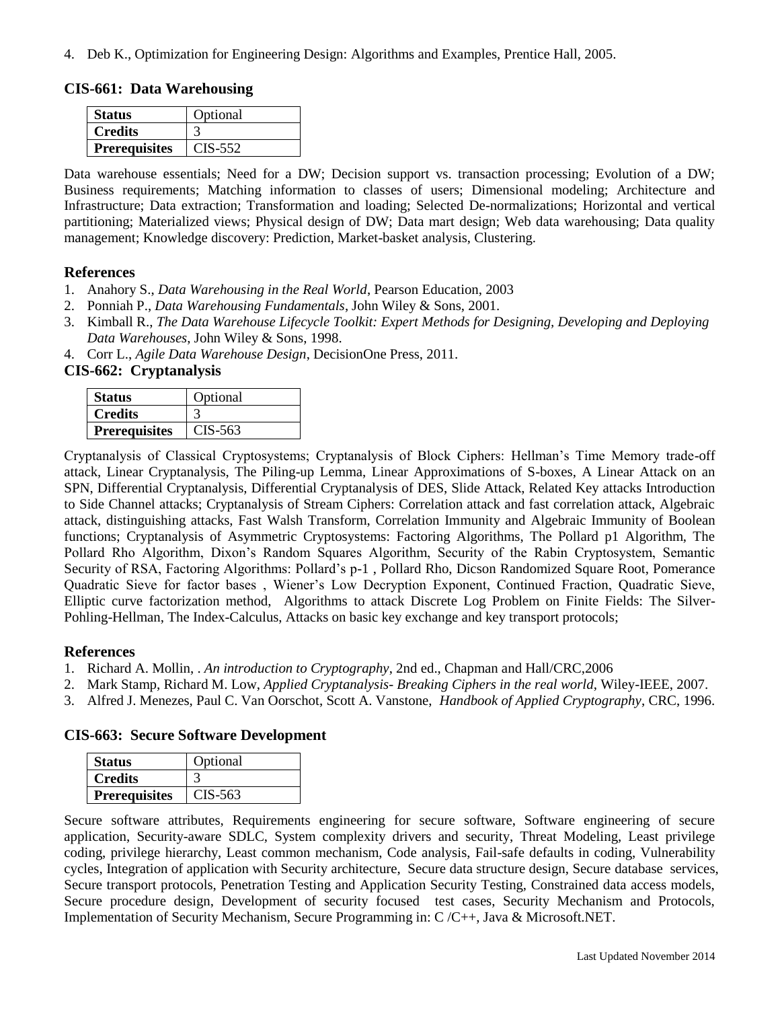4. Deb K., Optimization for Engineering Design: Algorithms and Examples, Prentice Hall, 2005.

**CIS-661: Data Warehousing**

| <b>Status</b>        | Optional  |
|----------------------|-----------|
| <b>Credits</b>       |           |
| <b>Prerequisites</b> | $CIS-552$ |

Data warehouse essentials; Need for a DW; Decision support vs. transaction processing; Evolution of a DW; Business requirements; Matching information to classes of users; Dimensional modeling; Architecture and Infrastructure; Data extraction; Transformation and loading; Selected De-normalizations; Horizontal and vertical partitioning; Materialized views; Physical design of DW; Data mart design; Web data warehousing; Data quality management; Knowledge discovery: Prediction, Market-basket analysis, Clustering.

#### **References**

- 1. Anahory S., *Data Warehousing in the Real World*, Pearson Education, 2003
- 2. Ponniah P., *Data Warehousing Fundamentals*, John Wiley & Sons, 2001.
- 3. Kimball R., *The Data Warehouse Lifecycle Toolkit: Expert Methods for Designing, Developing and Deploying Data Warehouses*, John Wiley & Sons, 1998.
- 4. Corr L., *Agile Data Warehouse Design*, DecisionOne Press, 2011.

## **CIS-662: Cryptanalysis**

| <b>Status</b>        | Optional  |
|----------------------|-----------|
| <b>Credits</b>       |           |
| <b>Prerequisites</b> | $CIS-563$ |

Cryptanalysis of Classical Cryptosystems; Cryptanalysis of Block Ciphers: Hellman's Time Memory trade-off attack, Linear Cryptanalysis, The Piling-up Lemma, Linear Approximations of S-boxes, A Linear Attack on an SPN, Differential Cryptanalysis, Differential Cryptanalysis of DES, Slide Attack, Related Key attacks Introduction to Side Channel attacks; Cryptanalysis of Stream Ciphers: Correlation attack and fast correlation attack, Algebraic attack, distinguishing attacks, Fast Walsh Transform, Correlation Immunity and Algebraic Immunity of Boolean functions; Cryptanalysis of Asymmetric Cryptosystems: Factoring Algorithms, The Pollard p1 Algorithm, The Pollard Rho Algorithm, Dixon's Random Squares Algorithm, Security of the Rabin Cryptosystem, Semantic Security of RSA, Factoring Algorithms: Pollard's p-1 , Pollard Rho, Dicson Randomized Square Root, Pomerance Quadratic Sieve for factor bases , Wiener's Low Decryption Exponent, Continued Fraction, Quadratic Sieve, Elliptic curve factorization method, Algorithms to attack Discrete Log Problem on Finite Fields: The Silver-Pohling-Hellman, The Index-Calculus, Attacks on basic key exchange and key transport protocols;

#### **References**

- 1. Richard A. Mollin, . *An introduction to Cryptography*, 2nd ed., Chapman and Hall/CRC,2006
- 2. Mark Stamp, Richard M. Low, *Applied Cryptanalysis- Breaking Ciphers in the real world*, Wiley-IEEE, 2007.
- 3. Alfred J. Menezes, Paul C. Van Oorschot, Scott A. Vanstone, *Handbook of Applied Cryptography*, CRC, 1996.

## **CIS-663: Secure Software Development**

| <b>Status</b>        | Optional |
|----------------------|----------|
| <b>Credits</b>       |          |
| <b>Prerequisites</b> | CIS-563  |

Secure software attributes, Requirements engineering for secure software, Software engineering of secure application, Security-aware SDLC, System complexity drivers and security, Threat Modeling, Least privilege coding, privilege hierarchy, Least common mechanism, Code analysis, Fail-safe defaults in coding, Vulnerability cycles, Integration of application with Security architecture, Secure data structure design, Secure database services, Secure transport protocols, Penetration Testing and Application Security Testing, Constrained data access models, Secure procedure design, Development of security focused test cases, Security Mechanism and Protocols, Implementation of Security Mechanism, Secure Programming in: C /C++, Java & Microsoft.NET.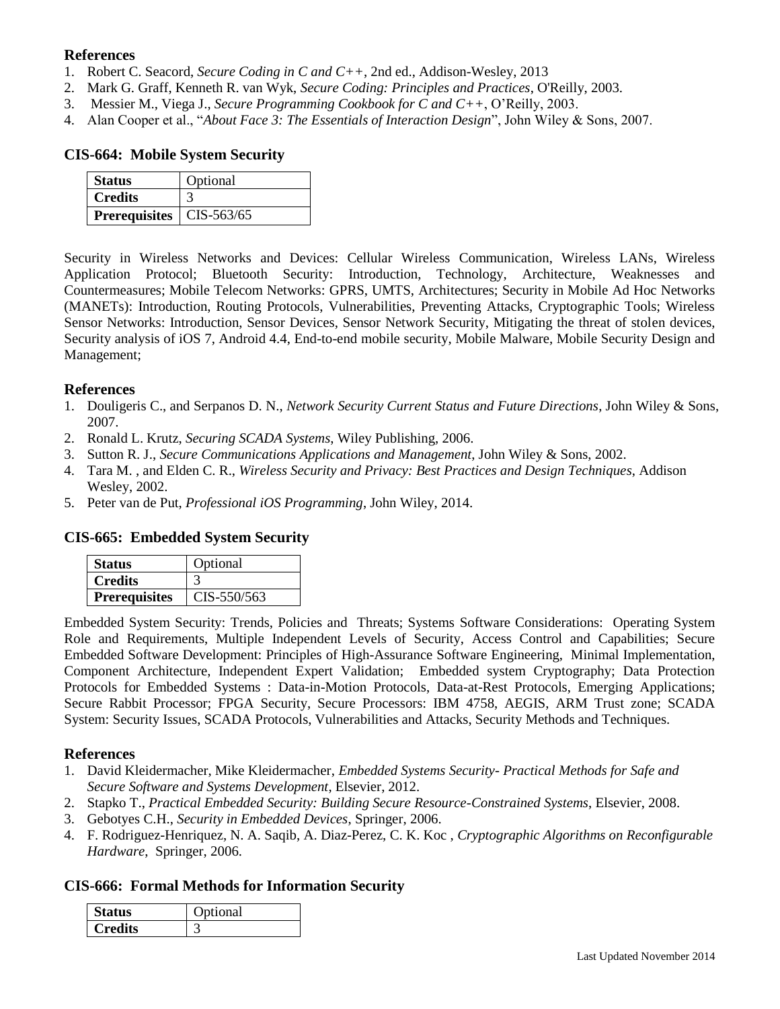## **References**

- 1. Robert C. Seacord, *Secure Coding in C and C++*, 2nd ed., Addison-Wesley, 2013
- 2. Mark G. Graff, Kenneth R. van Wyk, *Secure Coding: Principles and Practices*, O'Reilly, 2003.
- 3. Messier M., Viega J., *Secure Programming Cookbook for C and C++*, O'Reilly, 2003.
- 4. Alan Cooper et al., "*About Face 3: The Essentials of Interaction Design*", John Wiley & Sons, 2007.

#### **CIS-664: Mobile System Security**

| <b>Status</b>                     | Optional |
|-----------------------------------|----------|
| <b>Credits</b>                    |          |
| <b>Prerequisites</b>   CIS-563/65 |          |

Security in Wireless Networks and Devices: Cellular Wireless Communication, Wireless LANs, Wireless Application Protocol; Bluetooth Security: Introduction, Technology, Architecture, Weaknesses and Countermeasures; Mobile Telecom Networks: GPRS, UMTS, Architectures; Security in Mobile Ad Hoc Networks (MANETs): Introduction, Routing Protocols, Vulnerabilities, Preventing Attacks, Cryptographic Tools; Wireless Sensor Networks: Introduction, Sensor Devices, Sensor Network Security, Mitigating the threat of stolen devices, Security analysis of iOS 7, Android 4.4, End-to-end mobile security, Mobile Malware, Mobile Security Design and Management;

#### **References**

- 1. Douligeris C., and Serpanos D. N., *Network Security Current Status and Future Directions*, John Wiley & Sons, 2007.
- 2. Ronald L. Krutz, *Securing SCADA Systems*, Wiley Publishing, 2006.
- 3. Sutton R. J., *Secure Communications Applications and Management*, John Wiley & Sons, 2002.
- 4. Tara M. , and Elden C. R., *Wireless Security and Privacy: Best Practices and Design Techniques*, Addison Wesley, 2002.
- 5. Peter van de Put, *Professional iOS Programming*, John Wiley, 2014.

## **CIS-665: Embedded System Security**

| <b>Status</b>        | Optional      |
|----------------------|---------------|
| <b>Credits</b>       |               |
| <b>Prerequisites</b> | $CIS-550/563$ |

Embedded System Security: Trends, Policies and Threats; Systems Software Considerations: Operating System Role and Requirements, Multiple Independent Levels of Security, Access Control and Capabilities; Secure Embedded Software Development: Principles of High-Assurance Software Engineering, Minimal Implementation, Component Architecture, Independent Expert Validation; Embedded system Cryptography; Data Protection Protocols for Embedded Systems : Data-in-Motion Protocols, Data-at-Rest Protocols, Emerging Applications; Secure Rabbit Processor; FPGA Security, Secure Processors: IBM 4758, AEGIS, ARM Trust zone; SCADA System: Security Issues, SCADA Protocols, Vulnerabilities and Attacks, Security Methods and Techniques.

#### **References**

- 1. David Kleidermacher, Mike Kleidermacher, *Embedded Systems Security- Practical Methods for Safe and Secure Software and Systems Development*, Elsevier, 2012.
- 2. Stapko T., *Practical Embedded Security: Building Secure Resource-Constrained Systems*, Elsevier, 2008.
- 3. Gebotyes C.H., *Security in Embedded Devices*, Springer, 2006.
- 4. F. Rodriguez-Henriquez, N. A. Saqib, A. Diaz-Perez, C. K. Koc , *Cryptographic Algorithms on Reconfigurable Hardware*, Springer, 2006.

#### **CIS-666: Formal Methods for Information Security**

| $\cap$ ntional |
|----------------|
|                |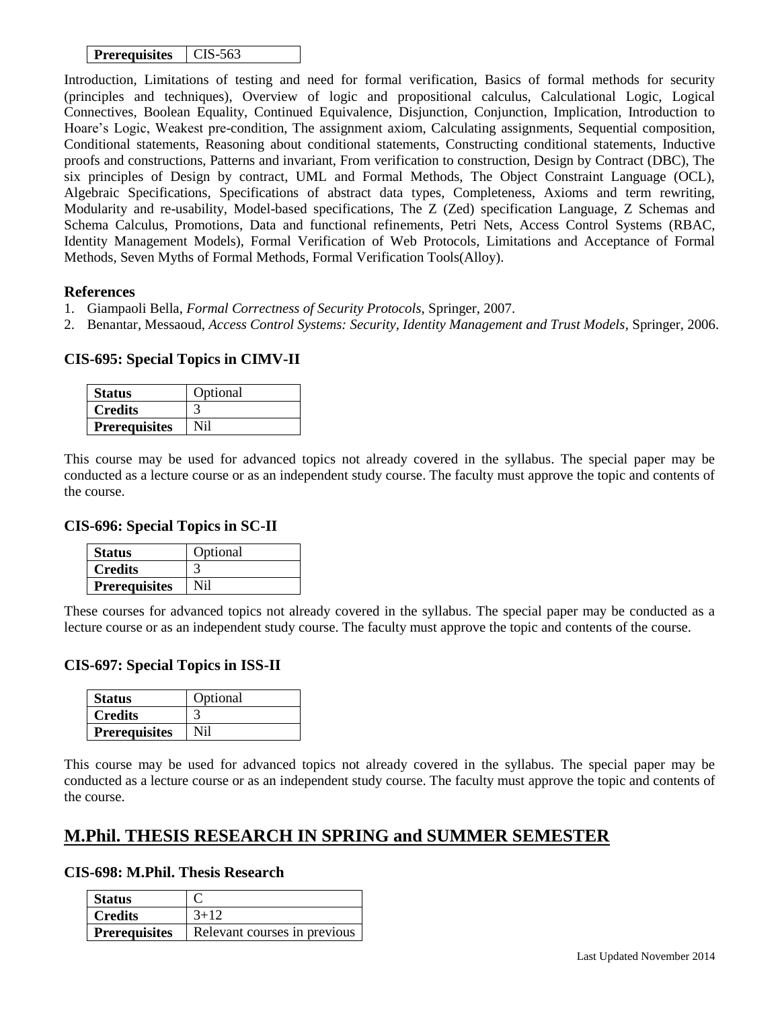| <b>Prerequisites</b> | CIS-563 |
|----------------------|---------|
|----------------------|---------|

Introduction, Limitations of testing and need for formal verification, Basics of formal methods for security (principles and techniques), Overview of logic and propositional calculus, Calculational Logic, Logical Connectives, Boolean Equality, Continued Equivalence, Disjunction, Conjunction, Implication, Introduction to Hoare's Logic, Weakest pre-condition, The assignment axiom, Calculating assignments, Sequential composition, Conditional statements, Reasoning about conditional statements, Constructing conditional statements, Inductive proofs and constructions, Patterns and invariant, From verification to construction, Design by Contract (DBC), The six principles of Design by contract, UML and Formal Methods, The Object Constraint Language (OCL), Algebraic Specifications, Specifications of abstract data types, Completeness, Axioms and term rewriting, Modularity and re-usability, Model-based specifications, The Z (Zed) specification Language, Z Schemas and Schema Calculus, Promotions, Data and functional refinements, Petri Nets, Access Control Systems (RBAC, Identity Management Models), Formal Verification of Web Protocols, Limitations and Acceptance of Formal Methods, Seven Myths of Formal Methods, Formal Verification Tools(Alloy).

#### **References**

- 1. Giampaoli Bella, *Formal Correctness of Security Protocols*, Springer, 2007.
- 2. Benantar, Messaoud, *Access Control Systems: Security, Identity Management and Trust Models*, Springer, 2006.

## **CIS-695: Special Topics in CIMV-II**

| <b>Status</b>        | Optional |
|----------------------|----------|
| <b>Credits</b>       |          |
| <b>Prerequisites</b> | NH 1     |

This course may be used for advanced topics not already covered in the syllabus. The special paper may be conducted as a lecture course or as an independent study course. The faculty must approve the topic and contents of the course.

## **CIS-696: Special Topics in SC-II**

| <b>Status</b>        | Optional |
|----------------------|----------|
| <b>Credits</b>       |          |
| <b>Prerequisites</b> |          |

These courses for advanced topics not already covered in the syllabus. The special paper may be conducted as a lecture course or as an independent study course. The faculty must approve the topic and contents of the course.

## **CIS-697: Special Topics in ISS-II**

| <b>Status</b>        | Optional |
|----------------------|----------|
| <b>Credits</b>       |          |
| <b>Prerequisites</b> | Ni1      |

This course may be used for advanced topics not already covered in the syllabus. The special paper may be conducted as a lecture course or as an independent study course. The faculty must approve the topic and contents of the course.

## **M.Phil. THESIS RESEARCH IN SPRING and SUMMER SEMESTER**

#### **CIS-698: M.Phil. Thesis Research**

| <b>Status</b>        |                              |
|----------------------|------------------------------|
| Credits              | $3 + 12$                     |
| <b>Prerequisites</b> | Relevant courses in previous |